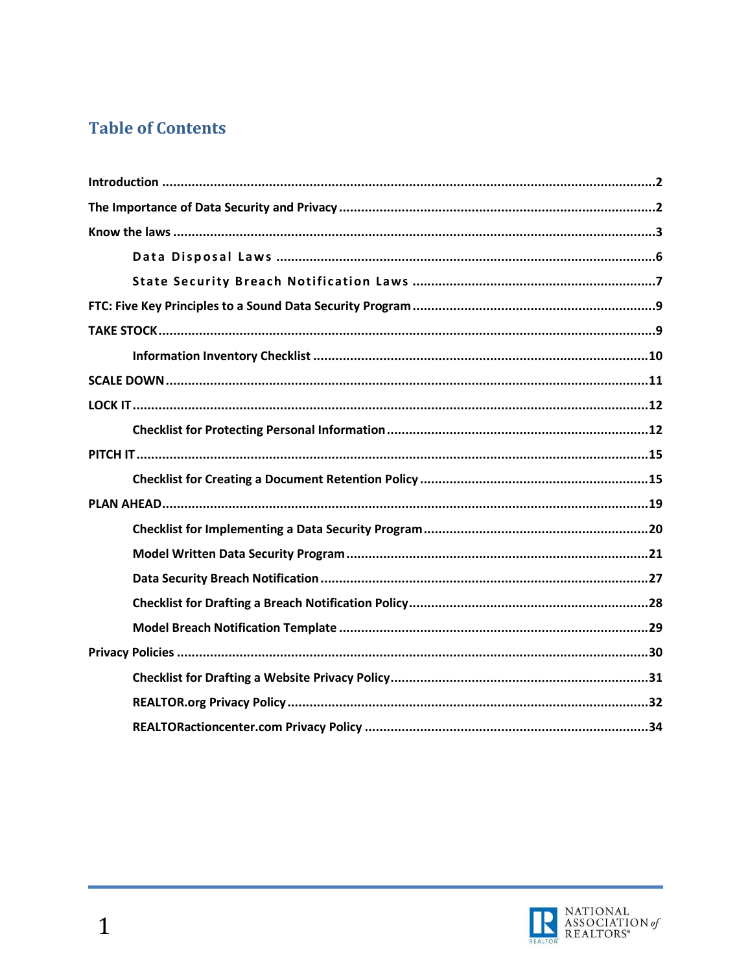## **Table of Contents**

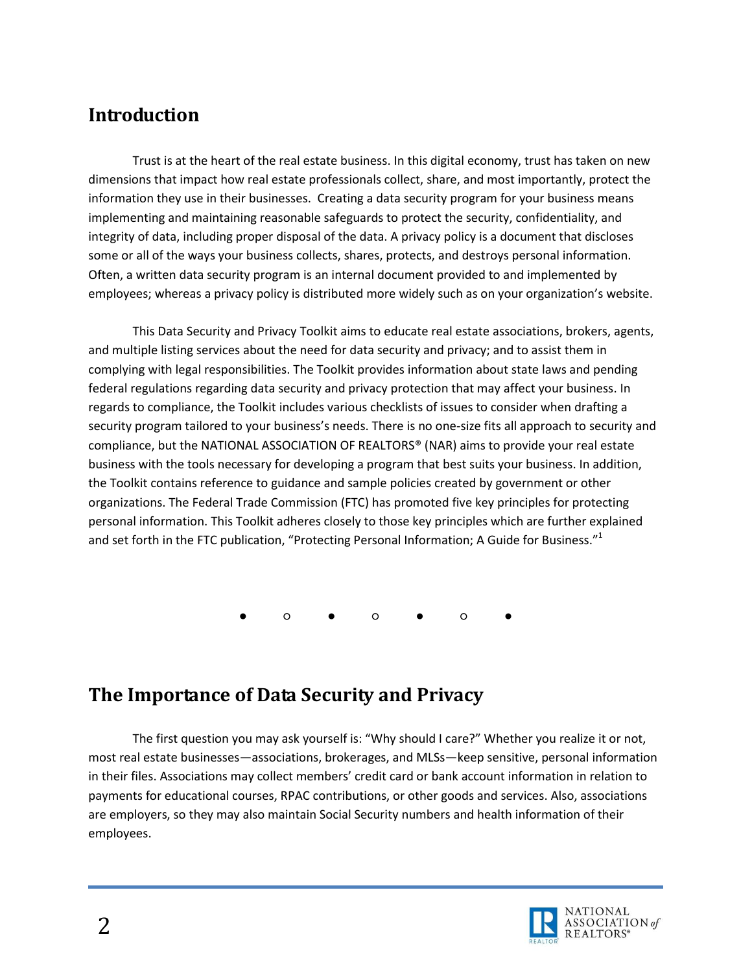## <span id="page-1-0"></span>**Introduction**

Trust is at the heart of the real estate business. In this digital economy, trust has taken on new dimensions that impact how real estate professionals collect, share, and most importantly, protect the information they use in their businesses. Creating a data security program for your business means implementing and maintaining reasonable safeguards to protect the security, confidentiality, and integrity of data, including proper disposal of the data. A privacy policy is a document that discloses some or all of the ways your business collects, shares, protects, and destroys personal information. Often, a written data security program is an internal document provided to and implemented by employees; whereas a privacy policy is distributed more widely such as on your organization's website.

This Data Security and Privacy Toolkit aims to educate real estate associations, brokers, agents, and multiple listing services about the need for data security and privacy; and to assist them in complying with legal responsibilities. The Toolkit provides information about state laws and pending federal regulations regarding data security and privacy protection that may affect your business. In regards to compliance, the Toolkit includes various checklists of issues to consider when drafting a security program tailored to your business's needs. There is no one-size fits all approach to security and compliance, but the NATIONAL ASSOCIATION OF REALTORS® (NAR) aims to provide your real estate business with the tools necessary for developing a program that best suits your business. In addition, the Toolkit contains reference to guidance and sample policies created by government or other organizations. The Federal Trade Commission (FTC) has promoted five key principles for protecting personal information. This Toolkit adheres closely to those key principles which are further explained and set forth in the FTC publication, "Protecting Personal Information; A Guide for Business."<sup>1</sup>

● ○ ● ○ ● ○ ●

## <span id="page-1-1"></span>**The Importance of Data Security and Privacy**

The first question you may ask yourself is: "Why should I care?" Whether you realize it or not, most real estate businesses—associations, brokerages, and MLSs—keep sensitive, personal information in their files. Associations may collect members' credit card or bank account information in relation to payments for educational courses, RPAC contributions, or other goods and services. Also, associations are employers, so they may also maintain Social Security numbers and health information of their employees.

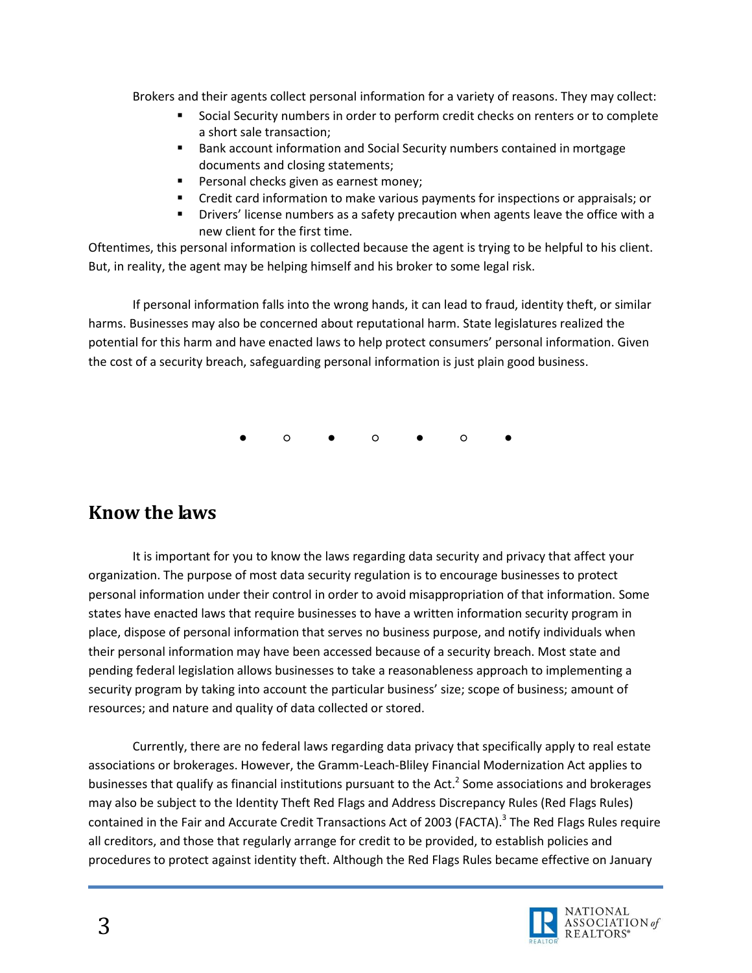Brokers and their agents collect personal information for a variety of reasons. They may collect:

- Social Security numbers in order to perform credit checks on renters or to complete a short sale transaction;
- Bank account information and Social Security numbers contained in mortgage documents and closing statements;
- Personal checks given as earnest money;
- Credit card information to make various payments for inspections or appraisals; or
- Drivers' license numbers as a safety precaution when agents leave the office with a new client for the first time.

Oftentimes, this personal information is collected because the agent is trying to be helpful to his client. But, in reality, the agent may be helping himself and his broker to some legal risk.

If personal information falls into the wrong hands, it can lead to fraud, identity theft, or similar harms. Businesses may also be concerned about reputational harm. State legislatures realized the potential for this harm and have enacted laws to help protect consumers' personal information. Given the cost of a security breach, safeguarding personal information is just plain good business.

● ○ ● ○ ● ○ ●

## <span id="page-2-0"></span>**Know the laws**

It is important for you to know the laws regarding data security and privacy that affect your organization. The purpose of most data security regulation is to encourage businesses to protect personal information under their control in order to avoid misappropriation of that information. Some states have enacted laws that require businesses to have a written information security program in place, dispose of personal information that serves no business purpose, and notify individuals when their personal information may have been accessed because of a security breach. Most state and pending federal legislation allows businesses to take a reasonableness approach to implementing a security program by taking into account the particular business' size; scope of business; amount of resources; and nature and quality of data collected or stored.

Currently, there are no federal laws regarding data privacy that specifically apply to real estate associations or brokerages. However, the Gramm-Leach-Bliley Financial Modernization Act applies to businesses that qualify as financial institutions pursuant to the Act.<sup>2</sup> Some associations and brokerages may also be subject to the Identity Theft Red Flags and Address Discrepancy Rules (Red Flags Rules) contained in the Fair and Accurate Credit Transactions Act of 2003 (FACTA).<sup>3</sup> The Red Flags Rules require all creditors, and those that regularly arrange for credit to be provided, to establish policies and procedures to protect against identity theft. Although the Red Flags Rules became effective on January

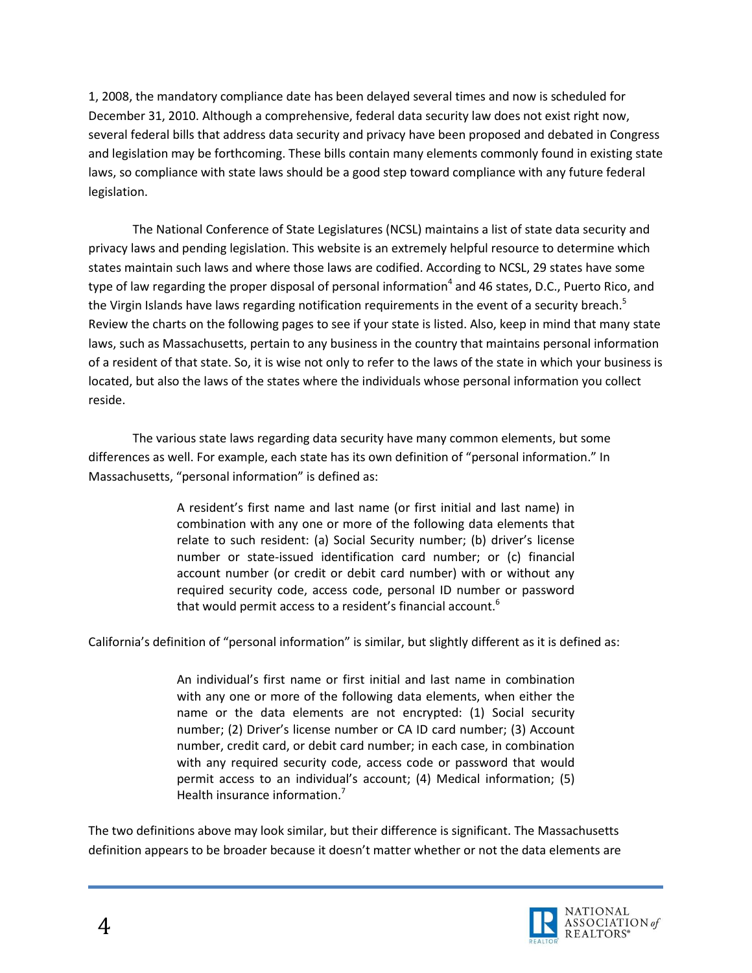1, 2008, the mandatory compliance date has been delayed several times and now is scheduled for December 31, 2010. Although a comprehensive, federal data security law does not exist right now, several federal bills that address data security and privacy have been proposed and debated in Congress and legislation may be forthcoming. These bills contain many elements commonly found in existing state laws, so compliance with state laws should be a good step toward compliance with any future federal legislation.

The National Conference of State Legislatures (NCSL) maintains a list of state data security and privacy laws and pending legislation. This website is an extremely helpful resource to determine which states maintain such laws and where those laws are codified. According to NCSL, 29 states have some type of law regarding the proper disposal of personal information<sup>4</sup> and 46 states, D.C., Puerto Rico, and the Virgin Islands have laws regarding notification requirements in the event of a security breach.<sup>5</sup> Review the charts on the following pages to see if your state is listed. Also, keep in mind that many state laws, such as Massachusetts, pertain to any business in the country that maintains personal information of a resident of that state. So, it is wise not only to refer to the laws of the state in which your business is located, but also the laws of the states where the individuals whose personal information you collect reside.

The various state laws regarding data security have many common elements, but some differences as well. For example, each state has its own definition of "personal information." In Massachusetts, "personal information" is defined as:

> A resident's first name and last name (or first initial and last name) in combination with any one or more of the following data elements that relate to such resident: (a) Social Security number; (b) driver's license number or state-issued identification card number; or (c) financial account number (or credit or debit card number) with or without any required security code, access code, personal ID number or password that would permit access to a resident's financial account.<sup>6</sup>

California's definition of "personal information" is similar, but slightly different as it is defined as:

An individual's first name or first initial and last name in combination with any one or more of the following data elements, when either the name or the data elements are not encrypted: (1) Social security number; (2) Driver's license number or CA ID card number; (3) Account number, credit card, or debit card number; in each case, in combination with any required security code, access code or password that would permit access to an individual's account; (4) Medical information; (5) Health insurance information.<sup>7</sup>

The two definitions above may look similar, but their difference is significant. The Massachusetts definition appears to be broader because it doesn't matter whether or not the data elements are

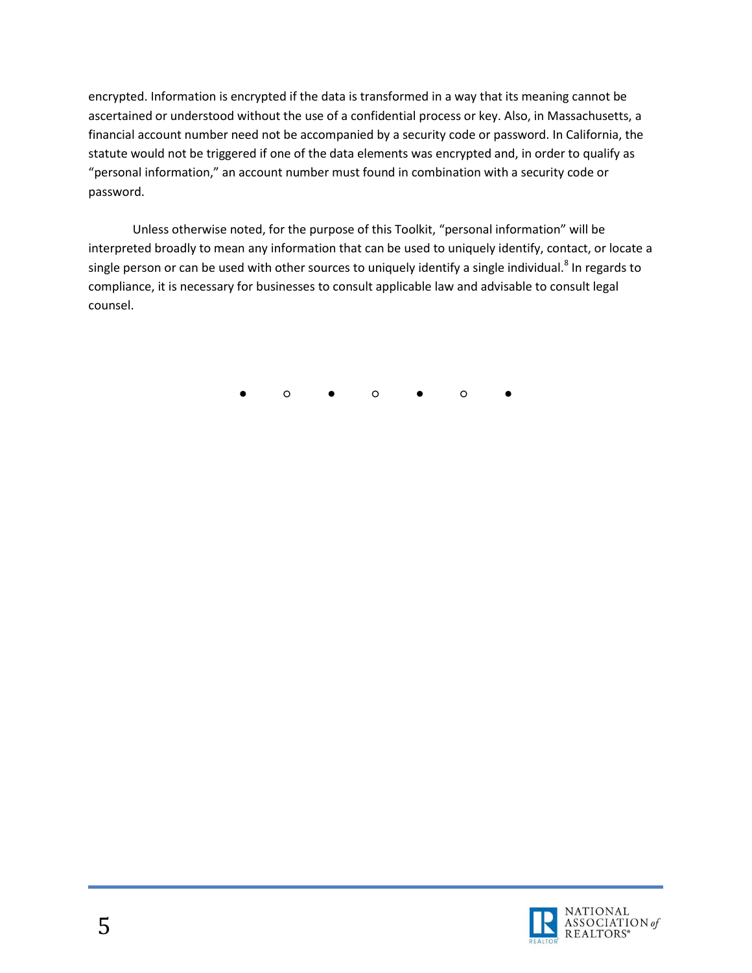encrypted. Information is encrypted if the data is transformed in a way that its meaning cannot be ascertained or understood without the use of a confidential process or key. Also, in Massachusetts, a financial account number need not be accompanied by a security code or password. In California, the statute would not be triggered if one of the data elements was encrypted and, in order to qualify as "personal information," an account number must found in combination with a security code or password.

Unless otherwise noted, for the purpose of this Toolkit, "personal information" will be interpreted broadly to mean any information that can be used to uniquely identify, contact, or locate a single person or can be used with other sources to uniquely identify a single individual.<sup>8</sup> In regards to compliance, it is necessary for businesses to consult applicable law and advisable to consult legal counsel.

● ○ ● ○ ● ○ ●

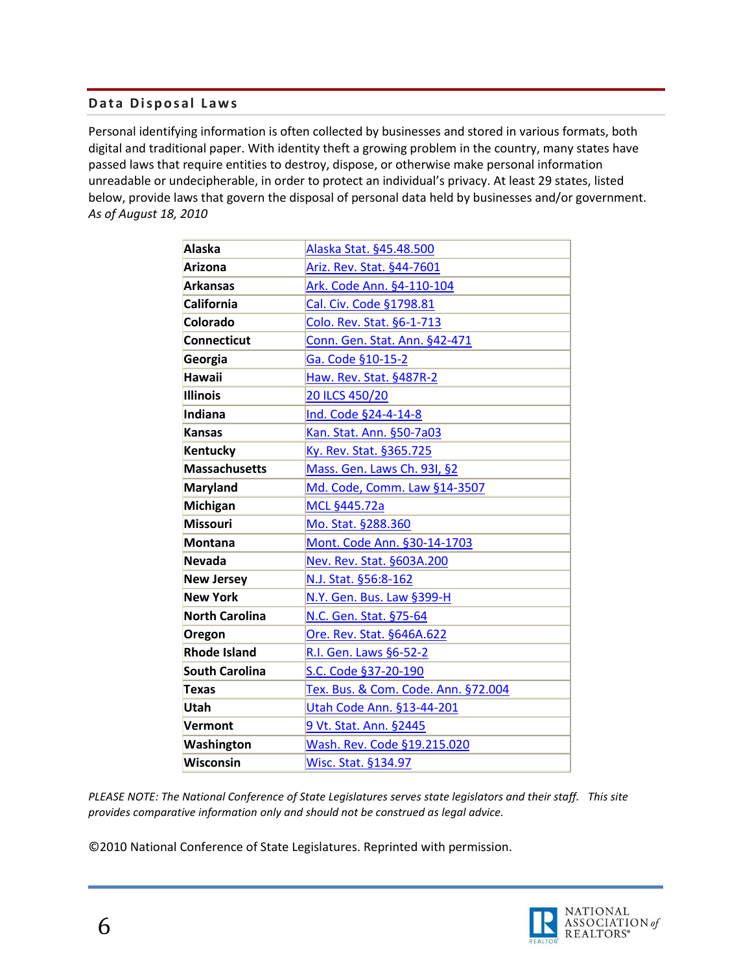#### <span id="page-5-0"></span>**Data Disposal Laws**

Personal identifying information is often collected by businesses and stored in various formats, both digital and traditional paper. With identity theft a growing problem in the country, many states have passed laws that require entities to destroy, dispose, or otherwise make personal information unreadable or undecipherable, in order to protect an individual's privacy. At least 29 states, listed below, provide laws that govern the disposal of personal data held by businesses and/or government. *As of August 18, 2010*

| <b>Alaska</b>         | Alaska Stat. §45.48.500             |
|-----------------------|-------------------------------------|
| <b>Arizona</b>        | Ariz. Rev. Stat. §44-7601           |
| <b>Arkansas</b>       | Ark. Code Ann. §4-110-104           |
| <b>California</b>     | Cal. Civ. Code §1798.81             |
| Colorado              | Colo. Rev. Stat. §6-1-713           |
| <b>Connecticut</b>    | Conn. Gen. Stat. Ann. §42-471       |
| Georgia               | Ga. Code §10-15-2                   |
| <b>Hawaii</b>         | Haw. Rev. Stat. §487R-2             |
| <b>Illinois</b>       | 20 ILCS 450/20                      |
| Indiana               | Ind. Code §24-4-14-8                |
| <b>Kansas</b>         | Kan. Stat. Ann. §50-7a03            |
| Kentucky              | Ky. Rev. Stat. §365.725             |
| <b>Massachusetts</b>  | Mass. Gen. Laws Ch. 93I, §2         |
| <b>Maryland</b>       | Md. Code, Comm. Law §14-3507        |
| Michigan              | MCL §445.72a                        |
| <b>Missouri</b>       | Mo. Stat. §288.360                  |
| <b>Montana</b>        | Mont. Code Ann. §30-14-1703         |
| <b>Nevada</b>         | Nev. Rev. Stat. §603A.200           |
| <b>New Jersey</b>     | N.J. Stat. §56:8-162                |
| <b>New York</b>       | N.Y. Gen. Bus. Law §399-H           |
| <b>North Carolina</b> | N.C. Gen. Stat. §75-64              |
| Oregon                | Ore. Rev. Stat. §646A.622           |
| <b>Rhode Island</b>   | R.I. Gen. Laws §6-52-2              |
| <b>South Carolina</b> | S.C. Code §37-20-190                |
| <b>Texas</b>          | Tex. Bus. & Com. Code. Ann. §72.004 |
| Utah                  | Utah Code Ann. §13-44-201           |
| Vermont               | 9 Vt. Stat. Ann. §2445              |
| Washington            | Wash. Rev. Code §19.215.020         |
| Wisconsin             | Wisc. Stat. §134.97                 |

*PLEASE NOTE: The National Conference of State Legislatures serves state legislators and their staff. This site provides comparative information only and should not be construed as legal advice.* 

©2010 National Conference of State Legislatures. Reprinted with permission.

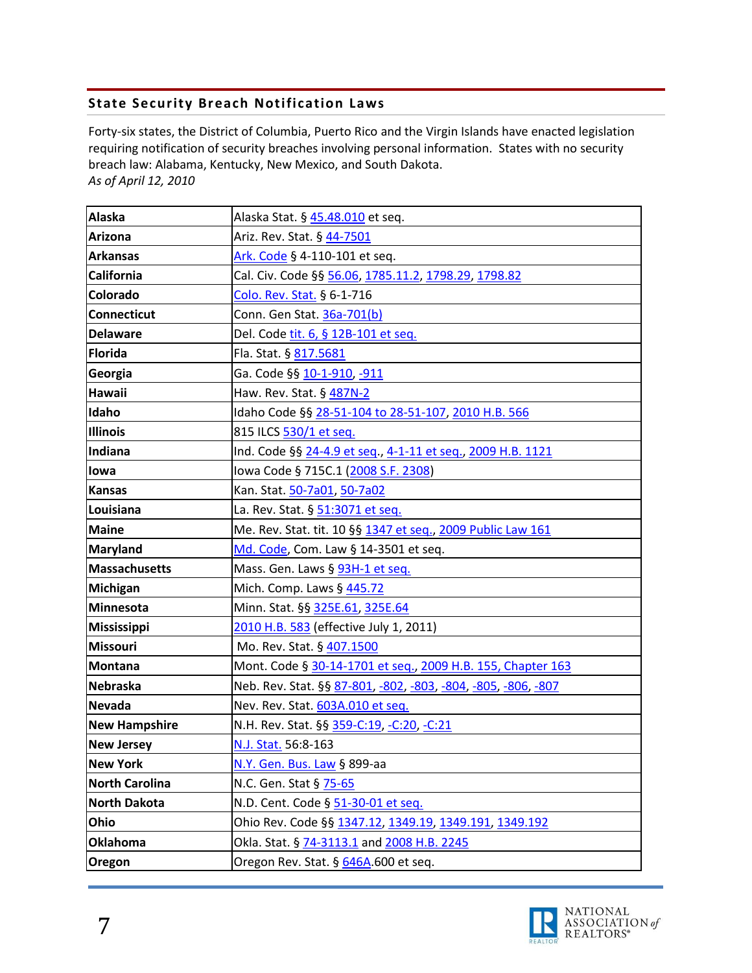### <span id="page-6-0"></span>**State Security Breach Notification Laws**

Forty-six states, the District of Columbia, Puerto Rico and the Virgin Islands have enacted legislation requiring notification of security breaches involving personal information. States with no security breach law: Alabama, Kentucky, New Mexico, and South Dakota. *As of April 12, 2010*

| <b>Alaska</b>         | Alaska Stat. § 45.48.010 et seq.                              |
|-----------------------|---------------------------------------------------------------|
| <b>Arizona</b>        | Ariz. Rev. Stat. § 44-7501                                    |
| <b>Arkansas</b>       | Ark. Code § 4-110-101 et seq.                                 |
| <b>California</b>     | Cal. Civ. Code §§ 56.06, 1785.11.2, 1798.29, 1798.82          |
| Colorado              | Colo. Rev. Stat. § 6-1-716                                    |
| <b>Connecticut</b>    | Conn. Gen Stat. 36a-701(b)                                    |
| <b>Delaware</b>       | Del. Code tit. 6, § 12B-101 et seq.                           |
| <b>Florida</b>        | Fla. Stat. § 817.5681                                         |
| Georgia               | Ga. Code §§ 10-1-910, -911                                    |
| <b>Hawaii</b>         | Haw. Rev. Stat. § 487N-2                                      |
| Idaho                 | Idaho Code §§ 28-51-104 to 28-51-107, 2010 H.B. 566           |
| <b>Illinois</b>       | 815 ILCS 530/1 et seq.                                        |
| Indiana               | Ind. Code §§ 24-4.9 et seq., 4-1-11 et seq., 2009 H.B. 1121   |
| lowa                  | lowa Code § 715C.1 (2008 S.F. 2308)                           |
| <b>Kansas</b>         | Kan. Stat. 50-7a01, 50-7a02                                   |
| Louisiana             | La. Rev. Stat. § 51:3071 et seq.                              |
| <b>Maine</b>          | Me. Rev. Stat. tit. 10 §§ 1347 et seq., 2009 Public Law 161   |
| <b>Maryland</b>       | Md. Code, Com. Law § 14-3501 et seq.                          |
| <b>Massachusetts</b>  | Mass. Gen. Laws § 93H-1 et seq.                               |
| <b>Michigan</b>       | Mich. Comp. Laws § 445.72                                     |
| <b>Minnesota</b>      | Minn. Stat. §§ 325E.61, 325E.64                               |
| <b>Mississippi</b>    | 2010 H.B. 583 (effective July 1, 2011)                        |
| <b>Missouri</b>       | Mo. Rev. Stat. § 407.1500                                     |
| <b>Montana</b>        | Mont. Code § 30-14-1701 et seq., 2009 H.B. 155, Chapter 163   |
| <b>Nebraska</b>       | Neb. Rev. Stat. §§ 87-801, -802, -803, -804, -805, -806, -807 |
| <b>Nevada</b>         | Nev. Rev. Stat. 603A.010 et seq.                              |
| <b>New Hampshire</b>  | N.H. Rev. Stat. §§ 359-C:19, -C:20, -C:21                     |
| <b>New Jersey</b>     | N.J. Stat. 56:8-163                                           |
| <b>New York</b>       | N.Y. Gen. Bus. Law § 899-aa                                   |
| <b>North Carolina</b> | N.C. Gen. Stat § 75-65                                        |
| <b>North Dakota</b>   | N.D. Cent. Code § 51-30-01 et seq.                            |
| Ohio                  | Ohio Rev. Code §§ 1347.12, 1349.19, 1349.191, 1349.192        |
| Oklahoma              | Okla. Stat. § 74-3113.1 and 2008 H.B. 2245                    |
| Oregon                | Oregon Rev. Stat. § 646A.600 et seq.                          |

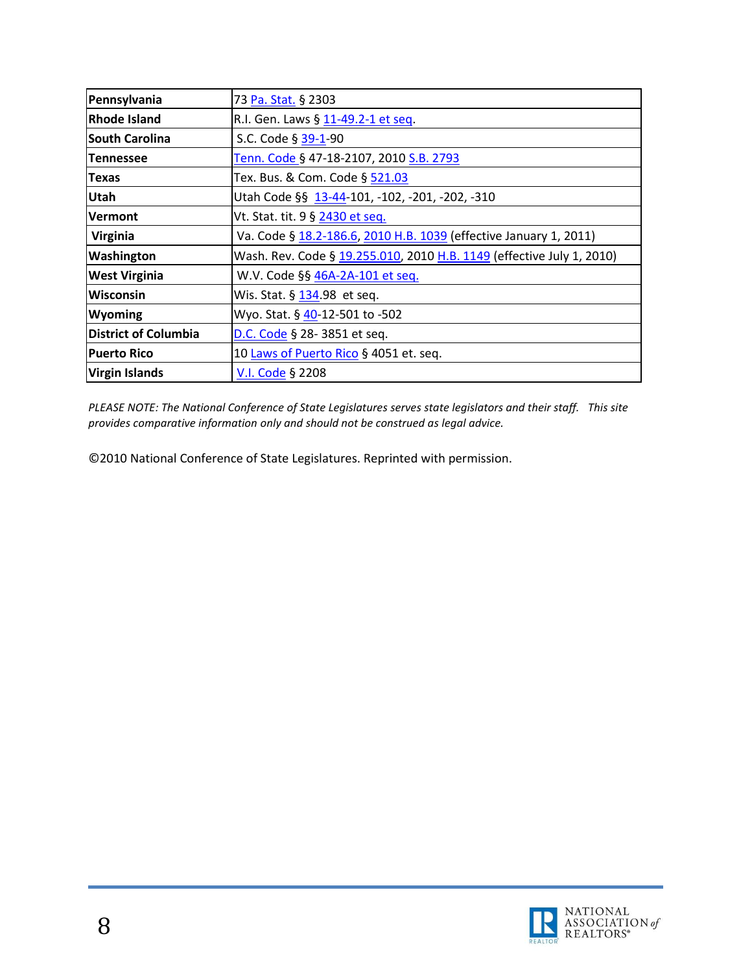| Pennsylvania                | 73 Pa. Stat. § 2303                                                   |
|-----------------------------|-----------------------------------------------------------------------|
| Rhode Island                | R.I. Gen. Laws § 11-49.2-1 et seq.                                    |
| <b>South Carolina</b>       | S.C. Code § 39-1-90                                                   |
| <b>Tennessee</b>            | Tenn. Code § 47-18-2107, 2010 S.B. 2793                               |
| <b>Texas</b>                | Tex. Bus. & Com. Code § 521.03                                        |
| <b>Utah</b>                 | Utah Code §§ 13-44-101, -102, -201, -202, -310                        |
| Vermont                     | Vt. Stat. tit. 9 § 2430 et seq.                                       |
| Virginia                    | Va. Code § 18.2-186.6, 2010 H.B. 1039 (effective January 1, 2011)     |
| Washington                  | Wash. Rev. Code § 19.255.010, 2010 H.B. 1149 (effective July 1, 2010) |
| <b>West Virginia</b>        | W.V. Code §§ 46A-2A-101 et seq.                                       |
| Wisconsin                   | Wis. Stat. § 134.98 et seq.                                           |
| Wyoming                     | Wyo. Stat. § 40-12-501 to -502                                        |
| <b>District of Columbia</b> | D.C. Code § 28-3851 et seq.                                           |
| <b>Puerto Rico</b>          | 10 Laws of Puerto Rico § 4051 et. seq.                                |
| Virgin Islands              | V.I. Code § 2208                                                      |

*PLEASE NOTE: The National Conference of State Legislatures serves state legislators and their staff. This site provides comparative information only and should not be construed as legal advice.*

©2010 National Conference of State Legislatures. Reprinted with permission.

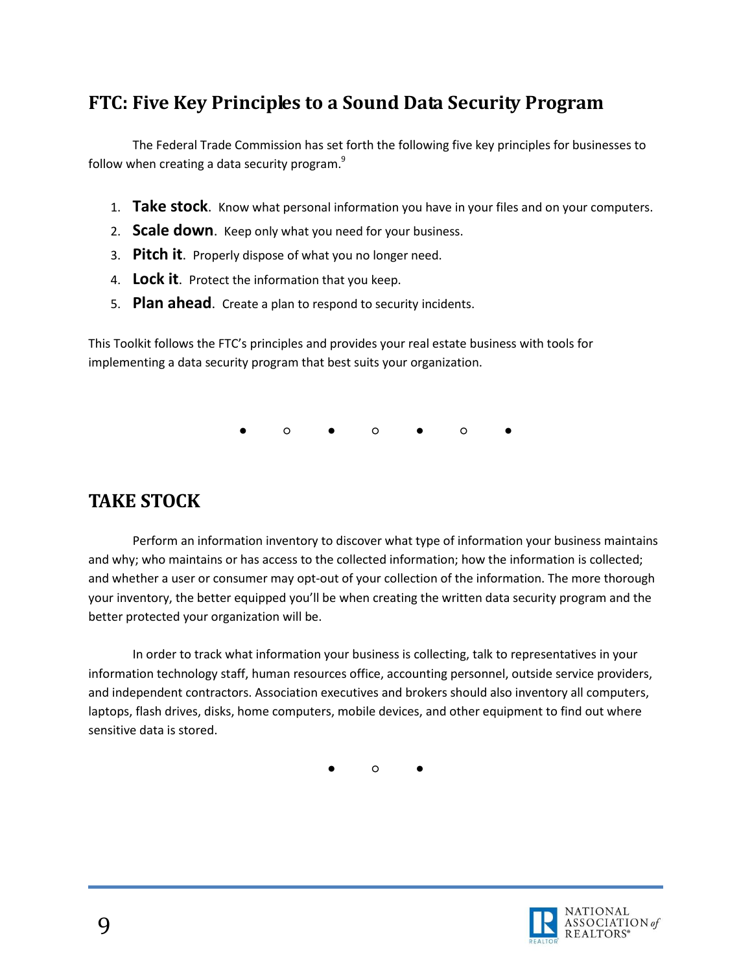## <span id="page-8-0"></span>**FTC: Five Key Principles to a Sound Data Security Program**

The Federal Trade Commission has set forth the following five key principles for businesses to follow when creating a data security program.<sup>9</sup>

- 1. **Take stock**. Know what personal information you have in your files and on your computers.
- 2. **Scale down**. Keep only what you need for your business.
- 3. **Pitch it**. Properly dispose of what you no longer need.
- 4. **Lock it**. Protect the information that you keep.
- 5. **Plan ahead**. Create a plan to respond to security incidents.

This Toolkit follows the FTC's principles and provides your real estate business with tools for implementing a data security program that best suits your organization.

● ○ ● ○ ● ○ ●

## <span id="page-8-1"></span>**TAKE STOCK**

Perform an information inventory to discover what type of information your business maintains and why; who maintains or has access to the collected information; how the information is collected; and whether a user or consumer may opt-out of your collection of the information. The more thorough your inventory, the better equipped you'll be when creating the written data security program and the better protected your organization will be.

In order to track what information your business is collecting, talk to representatives in your information technology staff, human resources office, accounting personnel, outside service providers, and independent contractors. Association executives and brokers should also inventory all computers, laptops, flash drives, disks, home computers, mobile devices, and other equipment to find out where sensitive data is stored.

● ○ ●

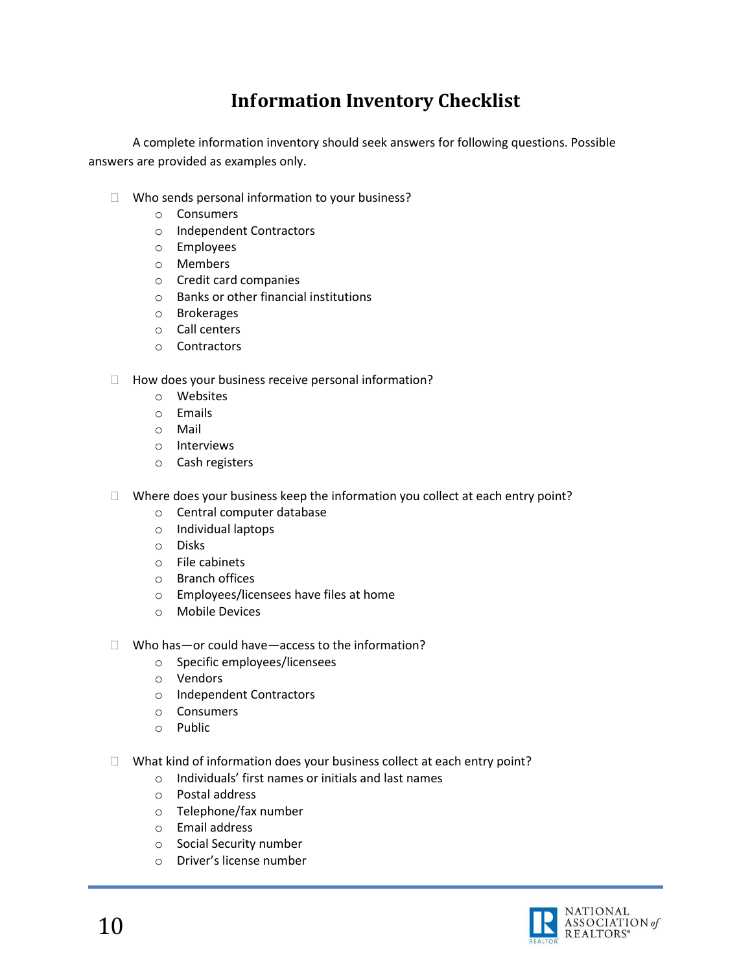# **Information Inventory Checklist**

<span id="page-9-0"></span>A complete information inventory should seek answers for following questions. Possible answers are provided as examples only.

- $\Box$  Who sends personal information to your business?
	- o Consumers
	- o Independent Contractors
	- o Employees
	- o Members
	- o Credit card companies
	- o Banks or other financial institutions
	- o Brokerages
	- o Call centers
	- o Contractors
- $\Box$  How does your business receive personal information?
	- o Websites
	- o Emails
	- o Mail
	- o Interviews
	- o Cash registers
- $\Box$  Where does your business keep the information you collect at each entry point?
	- o Central computer database
	- o Individual laptops
	- o Disks
	- o File cabinets
	- o Branch offices
	- o Employees/licensees have files at home
	- o Mobile Devices
- $\Box$  Who has—or could have—access to the information?
	- o Specific employees/licensees
	- o Vendors
	- o Independent Contractors
	- o Consumers
	- o Public
- $\Box$  What kind of information does your business collect at each entry point?
	- o Individuals' first names or initials and last names
	- o Postal address
	- o Telephone/fax number
	- o Email address
	- o Social Security number
	- o Driver's license number

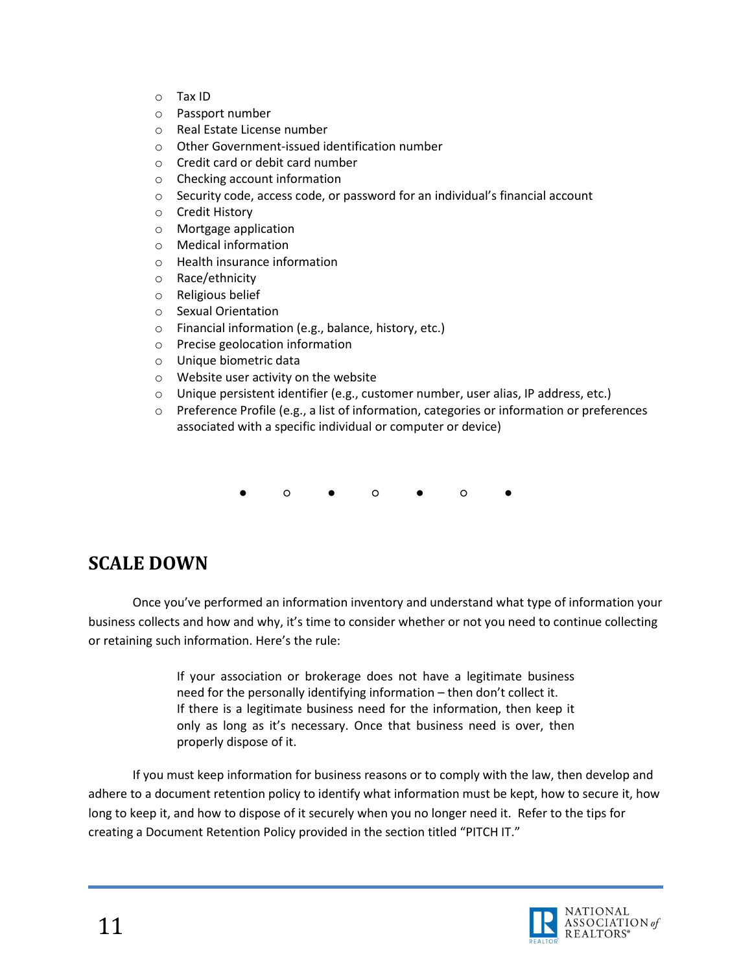- o Tax ID
- o Passport number
- o Real Estate License number
- o Other Government-issued identification number
- o Credit card or debit card number
- o Checking account information
- o Security code, access code, or password for an individual's financial account
- o Credit History
- o Mortgage application
- o Medical information
- o Health insurance information
- o Race/ethnicity
- o Religious belief
- o Sexual Orientation
- o Financial information (e.g., balance, history, etc.)
- o Precise geolocation information
- o Unique biometric data
- o Website user activity on the website
- o Unique persistent identifier (e.g., customer number, user alias, IP address, etc.)
- o Preference Profile (e.g., a list of information, categories or information or preferences associated with a specific individual or computer or device)
	- ○ ○ ○ ●

# <span id="page-10-0"></span>**SCALE DOWN**

Once you've performed an information inventory and understand what type of information your business collects and how and why, it's time to consider whether or not you need to continue collecting or retaining such information. Here's the rule:

> If your association or brokerage does not have a legitimate business need for the personally identifying information – then don't collect it. If there is a legitimate business need for the information, then keep it only as long as it's necessary. Once that business need is over, then properly dispose of it.

If you must keep information for business reasons or to comply with the law, then develop and adhere to a document retention policy to identify what information must be kept, how to secure it, how long to keep it, and how to dispose of it securely when you no longer need it. Refer to the tips for creating a Document Retention Policy provided in the section titled "PITCH IT."

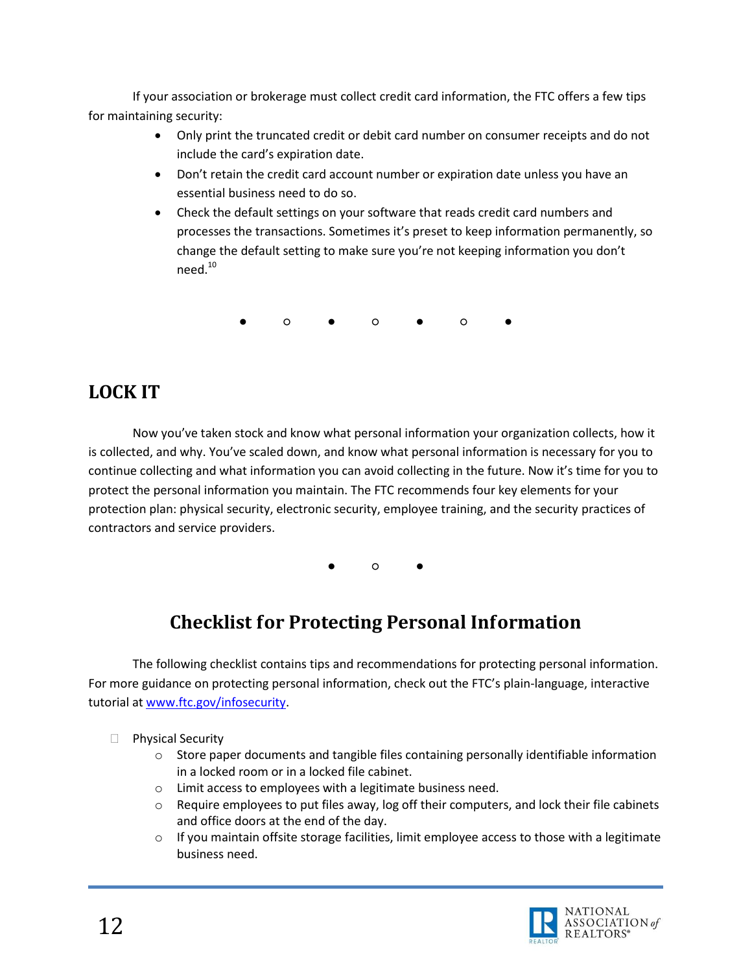If your association or brokerage must collect credit card information, the FTC offers a few tips for maintaining security:

- Only print the truncated credit or debit card number on consumer receipts and do not include the card's expiration date.
- Don't retain the credit card account number or expiration date unless you have an essential business need to do so.
- Check the default settings on your software that reads credit card numbers and processes the transactions. Sometimes it's preset to keep information permanently, so change the default setting to make sure you're not keeping information you don't need.<sup>10</sup>

● ○ ● ○ ● ○ ●

# <span id="page-11-0"></span>**LOCK IT**

Now you've taken stock and know what personal information your organization collects, how it is collected, and why. You've scaled down, and know what personal information is necessary for you to continue collecting and what information you can avoid collecting in the future. Now it's time for you to protect the personal information you maintain. The FTC recommends four key elements for your protection plan: physical security, electronic security, employee training, and the security practices of contractors and service providers.

● ○ ●

# **Checklist for Protecting Personal Information**

<span id="page-11-1"></span>The following checklist contains tips and recommendations for protecting personal information. For more guidance on protecting personal information, check out the FTC's plain-language, interactive tutorial at [www.ftc.gov/infosecurity.](http://www.ftc.gov/infosecurity)

 $\Box$  Physical Security

- $\circ$  Store paper documents and tangible files containing personally identifiable information in a locked room or in a locked file cabinet.
- o Limit access to employees with a legitimate business need.
- $\circ$  Require employees to put files away, log off their computers, and lock their file cabinets and office doors at the end of the day.
- $\circ$  If you maintain offsite storage facilities, limit employee access to those with a legitimate business need.

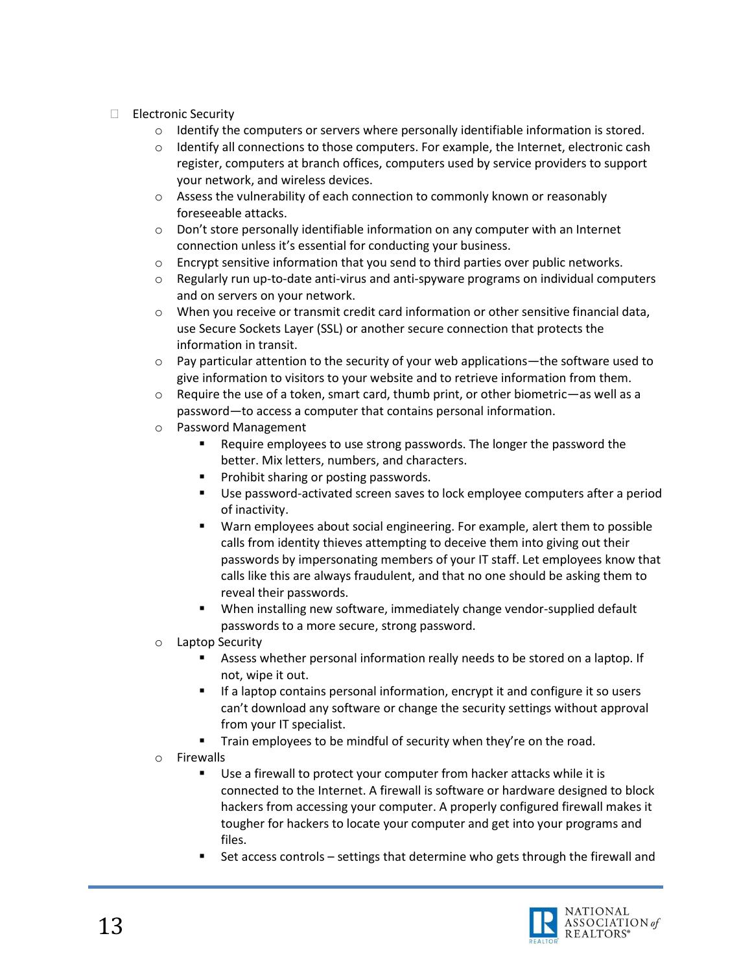- Electronic Security
	- $\circ$  Identify the computers or servers where personally identifiable information is stored.
	- $\circ$  Identify all connections to those computers. For example, the Internet, electronic cash register, computers at branch offices, computers used by service providers to support your network, and wireless devices.
	- o Assess the vulnerability of each connection to commonly known or reasonably foreseeable attacks.
	- $\circ$  Don't store personally identifiable information on any computer with an Internet connection unless it's essential for conducting your business.
	- o Encrypt sensitive information that you send to third parties over public networks.
	- o Regularly run up-to-date anti-virus and anti-spyware programs on individual computers and on servers on your network.
	- o When you receive or transmit credit card information or other sensitive financial data, use Secure Sockets Layer (SSL) or another secure connection that protects the information in transit.
	- o Pay particular attention to the security of your web applications—the software used to give information to visitors to your website and to retrieve information from them.
	- $\circ$  Require the use of a token, smart card, thumb print, or other biometric—as well as a password—to access a computer that contains personal information.
	- o Password Management
		- Require employees to use strong passwords. The longer the password the better. Mix letters, numbers, and characters.
		- **Prohibit sharing or posting passwords.**
		- Use password-activated screen saves to lock employee computers after a period of inactivity.
		- Warn employees about social engineering. For example, alert them to possible calls from identity thieves attempting to deceive them into giving out their passwords by impersonating members of your IT staff. Let employees know that calls like this are always fraudulent, and that no one should be asking them to reveal their passwords.
		- When installing new software, immediately change vendor-supplied default passwords to a more secure, strong password.
	- o Laptop Security
		- Assess whether personal information really needs to be stored on a laptop. If not, wipe it out.
		- If a laptop contains personal information, encrypt it and configure it so users can't download any software or change the security settings without approval from your IT specialist.
		- **Train employees to be mindful of security when they're on the road.**
	- o Firewalls
		- Use a firewall to protect your computer from hacker attacks while it is connected to the Internet. A firewall is software or hardware designed to block hackers from accessing your computer. A properly configured firewall makes it tougher for hackers to locate your computer and get into your programs and files.
		- Set access controls settings that determine who gets through the firewall and

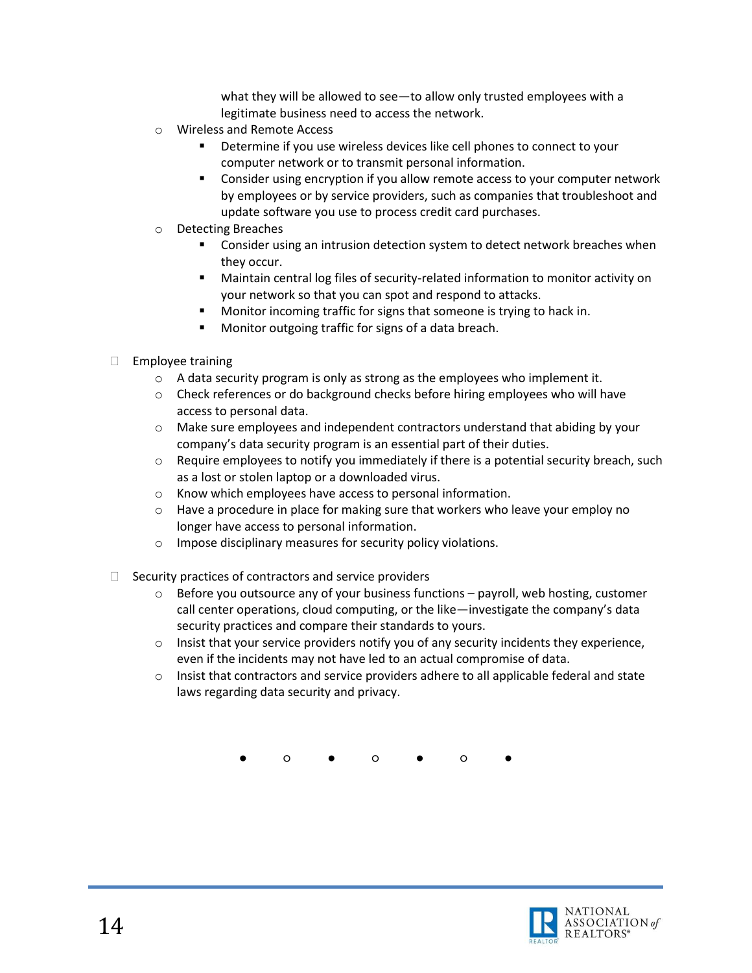what they will be allowed to see—to allow only trusted employees with a legitimate business need to access the network.

- o Wireless and Remote Access
	- Determine if you use wireless devices like cell phones to connect to your computer network or to transmit personal information.
	- Consider using encryption if you allow remote access to your computer network by employees or by service providers, such as companies that troubleshoot and update software you use to process credit card purchases.
- o Detecting Breaches
	- Consider using an intrusion detection system to detect network breaches when they occur.
	- Maintain central log files of security-related information to monitor activity on your network so that you can spot and respond to attacks.
	- Monitor incoming traffic for signs that someone is trying to hack in.
	- Monitor outgoing traffic for signs of a data breach.
- $\Box$  Employee training
	- o A data security program is only as strong as the employees who implement it.
	- $\circ$  Check references or do background checks before hiring employees who will have access to personal data.
	- $\circ$  Make sure employees and independent contractors understand that abiding by your company's data security program is an essential part of their duties.
	- $\circ$  Require employees to notify you immediately if there is a potential security breach, such as a lost or stolen laptop or a downloaded virus.
	- o Know which employees have access to personal information.
	- $\circ$  Have a procedure in place for making sure that workers who leave your employ no longer have access to personal information.
	- o Impose disciplinary measures for security policy violations.
- $\Box$  Security practices of contractors and service providers
	- $\circ$  Before you outsource any of your business functions payroll, web hosting, customer call center operations, cloud computing, or the like—investigate the company's data security practices and compare their standards to yours.
	- $\circ$  Insist that your service providers notify you of any security incidents they experience, even if the incidents may not have led to an actual compromise of data.
	- o Insist that contractors and service providers adhere to all applicable federal and state laws regarding data security and privacy.

● ○ ● ○ ● ○ ●

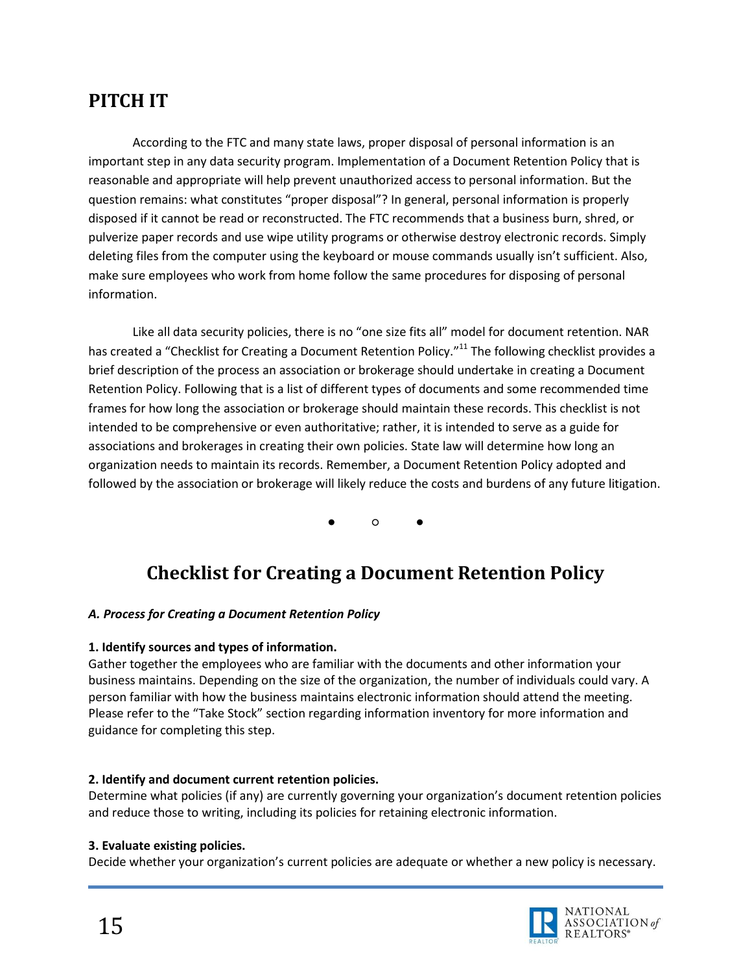# <span id="page-14-0"></span>**PITCH IT**

According to the FTC and many state laws, proper disposal of personal information is an important step in any data security program. Implementation of a Document Retention Policy that is reasonable and appropriate will help prevent unauthorized access to personal information. But the question remains: what constitutes "proper disposal"? In general, personal information is properly disposed if it cannot be read or reconstructed. The FTC recommends that a business burn, shred, or pulverize paper records and use wipe utility programs or otherwise destroy electronic records. Simply deleting files from the computer using the keyboard or mouse commands usually isn't sufficient. Also, make sure employees who work from home follow the same procedures for disposing of personal information.

Like all data security policies, there is no "one size fits all" model for document retention. NAR has created a "Checklist for Creating a Document Retention Policy."<sup>11</sup> The following checklist provides a brief description of the process an association or brokerage should undertake in creating a Document Retention Policy. Following that is a list of different types of documents and some recommended time frames for how long the association or brokerage should maintain these records. This checklist is not intended to be comprehensive or even authoritative; rather, it is intended to serve as a guide for associations and brokerages in creating their own policies. State law will determine how long an organization needs to maintain its records. Remember, a Document Retention Policy adopted and followed by the association or brokerage will likely reduce the costs and burdens of any future litigation.

● ○ ●

## **Checklist for Creating a Document Retention Policy**

### <span id="page-14-1"></span>*A. Process for Creating a Document Retention Policy*

#### **1. Identify sources and types of information.**

Gather together the employees who are familiar with the documents and other information your business maintains. Depending on the size of the organization, the number of individuals could vary. A person familiar with how the business maintains electronic information should attend the meeting. Please refer to the "Take Stock" section regarding information inventory for more information and guidance for completing this step.

#### **2. Identify and document current retention policies.**

Determine what policies (if any) are currently governing your organization's document retention policies and reduce those to writing, including its policies for retaining electronic information.

#### **3. Evaluate existing policies.**

Decide whether your organization's current policies are adequate or whether a new policy is necessary.

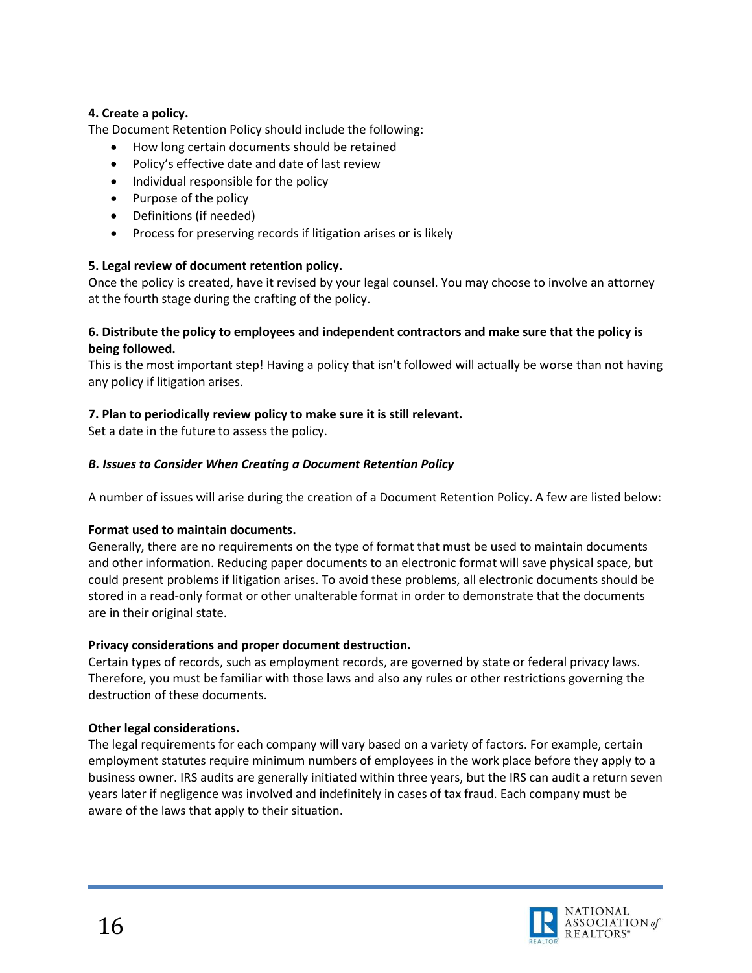#### **4. Create a policy.**

The Document Retention Policy should include the following:

- How long certain documents should be retained
- Policy's effective date and date of last review
- Individual responsible for the policy
- Purpose of the policy
- Definitions (if needed)
- Process for preserving records if litigation arises or is likely

#### **5. Legal review of document retention policy.**

Once the policy is created, have it revised by your legal counsel. You may choose to involve an attorney at the fourth stage during the crafting of the policy.

#### **6. Distribute the policy to employees and independent contractors and make sure that the policy is being followed.**

This is the most important step! Having a policy that isn't followed will actually be worse than not having any policy if litigation arises.

#### **7. Plan to periodically review policy to make sure it is still relevant.**

Set a date in the future to assess the policy.

#### *B. Issues to Consider When Creating a Document Retention Policy*

A number of issues will arise during the creation of a Document Retention Policy. A few are listed below:

#### **Format used to maintain documents.**

Generally, there are no requirements on the type of format that must be used to maintain documents and other information. Reducing paper documents to an electronic format will save physical space, but could present problems if litigation arises. To avoid these problems, all electronic documents should be stored in a read-only format or other unalterable format in order to demonstrate that the documents are in their original state.

#### **Privacy considerations and proper document destruction.**

Certain types of records, such as employment records, are governed by state or federal privacy laws. Therefore, you must be familiar with those laws and also any rules or other restrictions governing the destruction of these documents.

#### **Other legal considerations.**

The legal requirements for each company will vary based on a variety of factors. For example, certain employment statutes require minimum numbers of employees in the work place before they apply to a business owner. IRS audits are generally initiated within three years, but the IRS can audit a return seven years later if negligence was involved and indefinitely in cases of tax fraud. Each company must be aware of the laws that apply to their situation.

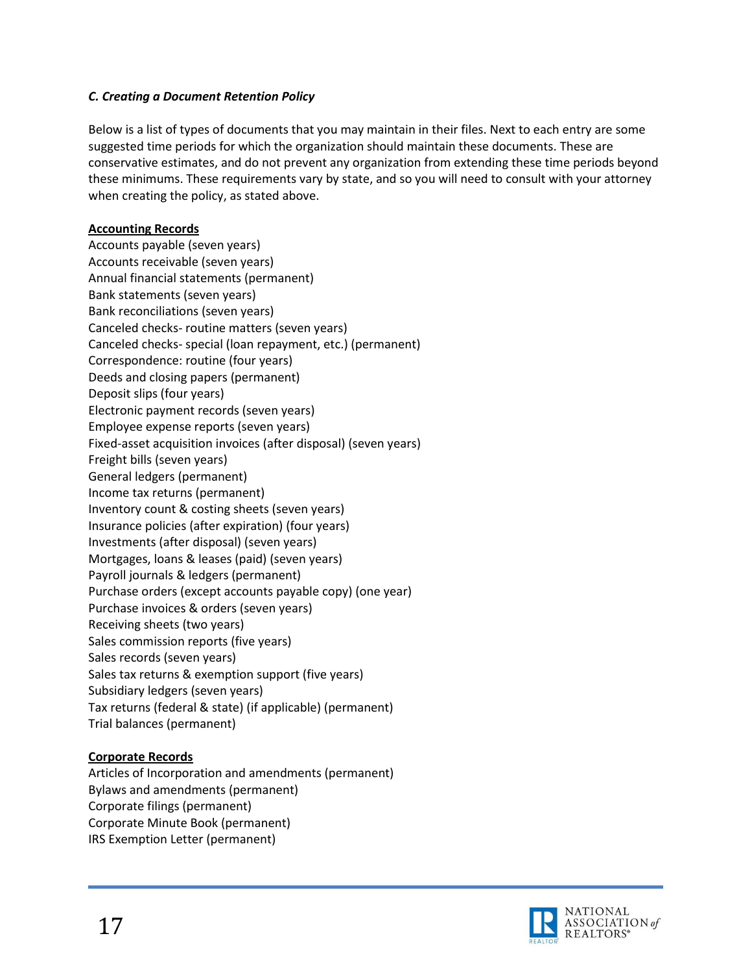#### *C. Creating a Document Retention Policy*

Below is a list of types of documents that you may maintain in their files. Next to each entry are some suggested time periods for which the organization should maintain these documents. These are conservative estimates, and do not prevent any organization from extending these time periods beyond these minimums. These requirements vary by state, and so you will need to consult with your attorney when creating the policy, as stated above.

#### **Accounting Records**

Accounts payable (seven years) Accounts receivable (seven years) Annual financial statements (permanent) Bank statements (seven years) Bank reconciliations (seven years) Canceled checks- routine matters (seven years) Canceled checks- special (loan repayment, etc.) (permanent) Correspondence: routine (four years) Deeds and closing papers (permanent) Deposit slips (four years) Electronic payment records (seven years) Employee expense reports (seven years) Fixed-asset acquisition invoices (after disposal) (seven years) Freight bills (seven years) General ledgers (permanent) Income tax returns (permanent) Inventory count & costing sheets (seven years) Insurance policies (after expiration) (four years) Investments (after disposal) (seven years) Mortgages, loans & leases (paid) (seven years) Payroll journals & ledgers (permanent) Purchase orders (except accounts payable copy) (one year) Purchase invoices & orders (seven years) Receiving sheets (two years) Sales commission reports (five years) Sales records (seven years) Sales tax returns & exemption support (five years) Subsidiary ledgers (seven years) Tax returns (federal & state) (if applicable) (permanent) Trial balances (permanent)

#### **Corporate Records**

Articles of Incorporation and amendments (permanent) Bylaws and amendments (permanent) Corporate filings (permanent) Corporate Minute Book (permanent) IRS Exemption Letter (permanent)

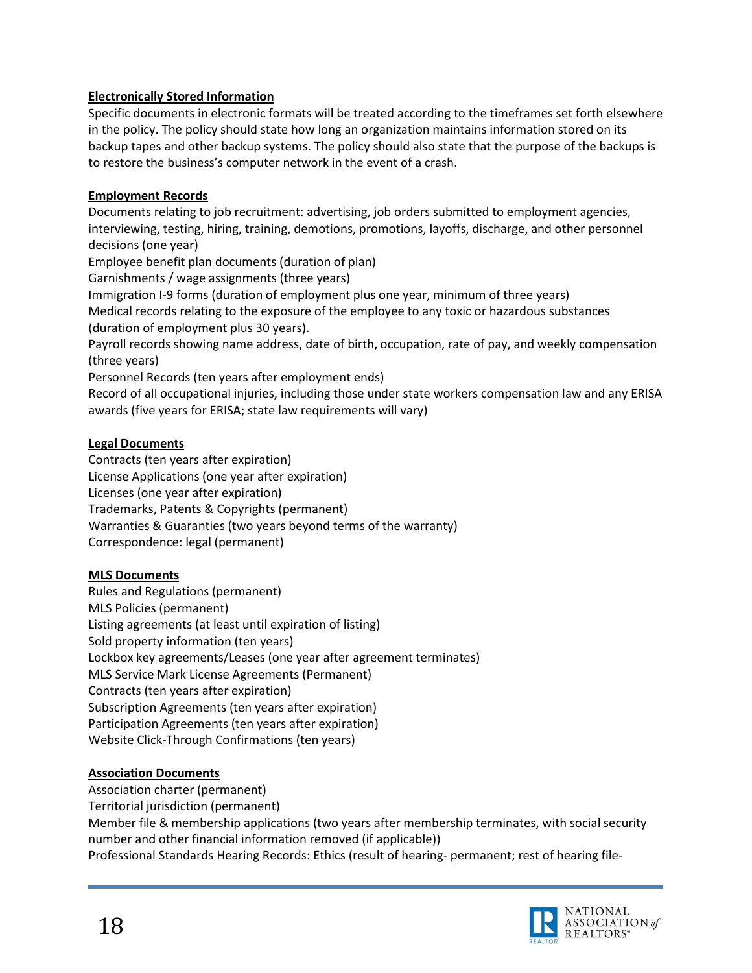#### **Electronically Stored Information**

Specific documents in electronic formats will be treated according to the timeframes set forth elsewhere in the policy. The policy should state how long an organization maintains information stored on its backup tapes and other backup systems. The policy should also state that the purpose of the backups is to restore the business's computer network in the event of a crash.

#### **Employment Records**

Documents relating to job recruitment: advertising, job orders submitted to employment agencies, interviewing, testing, hiring, training, demotions, promotions, layoffs, discharge, and other personnel decisions (one year)

Employee benefit plan documents (duration of plan)

Garnishments / wage assignments (three years)

Immigration I-9 forms (duration of employment plus one year, minimum of three years)

Medical records relating to the exposure of the employee to any toxic or hazardous substances (duration of employment plus 30 years).

Payroll records showing name address, date of birth, occupation, rate of pay, and weekly compensation (three years)

Personnel Records (ten years after employment ends)

Record of all occupational injuries, including those under state workers compensation law and any ERISA awards (five years for ERISA; state law requirements will vary)

#### **Legal Documents**

Contracts (ten years after expiration) License Applications (one year after expiration) Licenses (one year after expiration) Trademarks, Patents & Copyrights (permanent) Warranties & Guaranties (two years beyond terms of the warranty) Correspondence: legal (permanent)

#### **MLS Documents**

Rules and Regulations (permanent) MLS Policies (permanent) Listing agreements (at least until expiration of listing) Sold property information (ten years) Lockbox key agreements/Leases (one year after agreement terminates) MLS Service Mark License Agreements (Permanent) Contracts (ten years after expiration) Subscription Agreements (ten years after expiration) Participation Agreements (ten years after expiration) Website Click-Through Confirmations (ten years)

#### **Association Documents**

Association charter (permanent)

Territorial jurisdiction (permanent)

Member file & membership applications (two years after membership terminates, with social security number and other financial information removed (if applicable))

Professional Standards Hearing Records: Ethics (result of hearing- permanent; rest of hearing file-

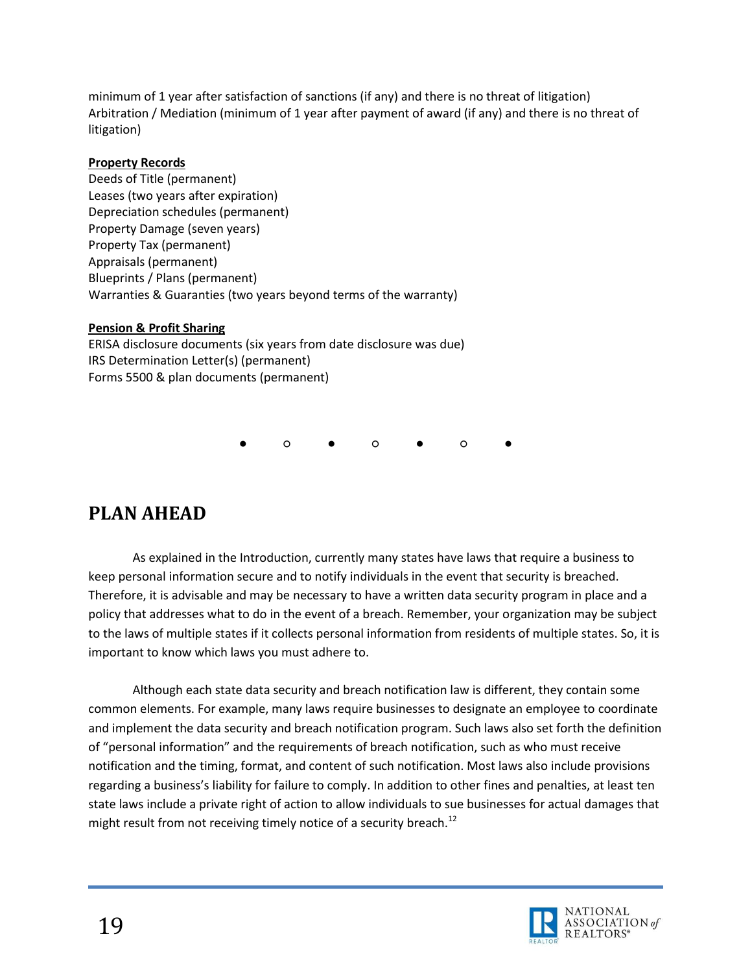minimum of 1 year after satisfaction of sanctions (if any) and there is no threat of litigation) Arbitration / Mediation (minimum of 1 year after payment of award (if any) and there is no threat of litigation)

#### **Property Records**

Deeds of Title (permanent) Leases (two years after expiration) Depreciation schedules (permanent) Property Damage (seven years) Property Tax (permanent) Appraisals (permanent) Blueprints / Plans (permanent) Warranties & Guaranties (two years beyond terms of the warranty)

### **Pension & Profit Sharing**

ERISA disclosure documents (six years from date disclosure was due) IRS Determination Letter(s) (permanent) Forms 5500 & plan documents (permanent)

● ○ ● ○ ● ○ ●

# <span id="page-18-0"></span>**PLAN AHEAD**

As explained in the Introduction, currently many states have laws that require a business to keep personal information secure and to notify individuals in the event that security is breached. Therefore, it is advisable and may be necessary to have a written data security program in place and a policy that addresses what to do in the event of a breach. Remember, your organization may be subject to the laws of multiple states if it collects personal information from residents of multiple states. So, it is important to know which laws you must adhere to.

Although each state data security and breach notification law is different, they contain some common elements. For example, many laws require businesses to designate an employee to coordinate and implement the data security and breach notification program. Such laws also set forth the definition of "personal information" and the requirements of breach notification, such as who must receive notification and the timing, format, and content of such notification. Most laws also include provisions regarding a business's liability for failure to comply. In addition to other fines and penalties, at least ten state laws include a private right of action to allow individuals to sue businesses for actual damages that might result from not receiving timely notice of a security breach.<sup>12</sup>

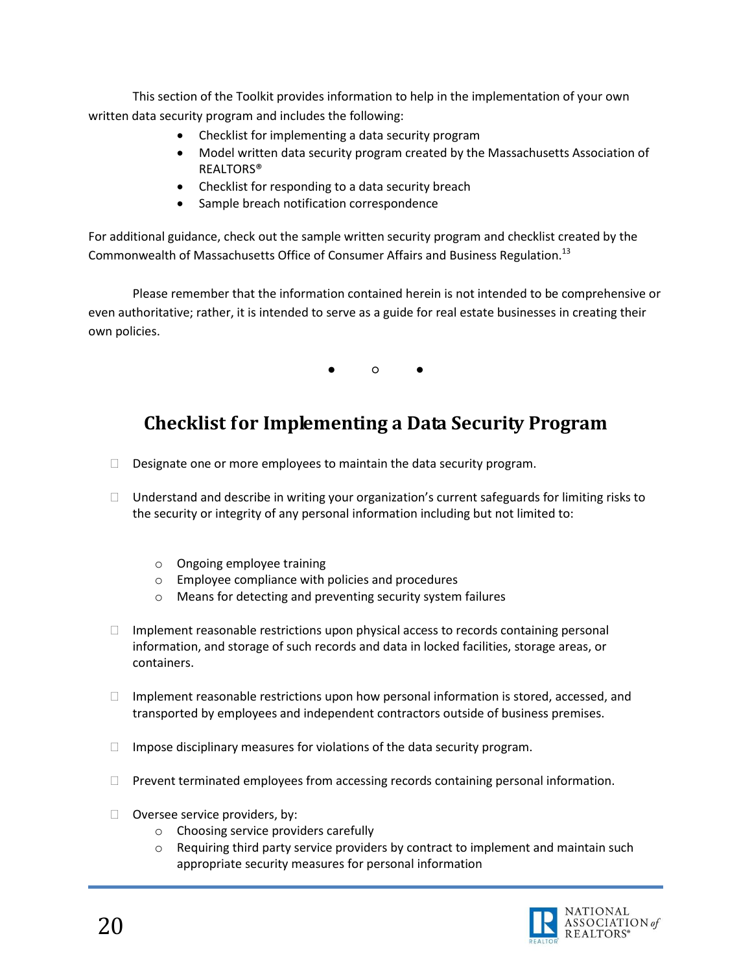This section of the Toolkit provides information to help in the implementation of your own written data security program and includes the following:

- Checklist for implementing a data security program
- Model written data security program created by the Massachusetts Association of REALTORS®
- Checklist for responding to a data security breach
- Sample breach notification correspondence

For additional guidance, check out the sample written security program and checklist created by the Commonwealth of Massachusetts Office of Consumer Affairs and Business Regulation.<sup>13</sup>

Please remember that the information contained herein is not intended to be comprehensive or even authoritative; rather, it is intended to serve as a guide for real estate businesses in creating their own policies.

● ○ ●

# <span id="page-19-0"></span>**Checklist for Implementing a Data Security Program**

- $\Box$  Designate one or more employees to maintain the data security program.
- $\Box$  Understand and describe in writing your organization's current safeguards for limiting risks to the security or integrity of any personal information including but not limited to:
	- o Ongoing employee training
	- o Employee compliance with policies and procedures
	- o Means for detecting and preventing security system failures
- $\Box$  Implement reasonable restrictions upon physical access to records containing personal information, and storage of such records and data in locked facilities, storage areas, or containers.
- $\Box$  Implement reasonable restrictions upon how personal information is stored, accessed, and transported by employees and independent contractors outside of business premises.
- $\Box$  Impose disciplinary measures for violations of the data security program.
- $\Box$  Prevent terminated employees from accessing records containing personal information.
- $\Box$  Oversee service providers, by:
	- o Choosing service providers carefully
	- $\circ$  Requiring third party service providers by contract to implement and maintain such appropriate security measures for personal information

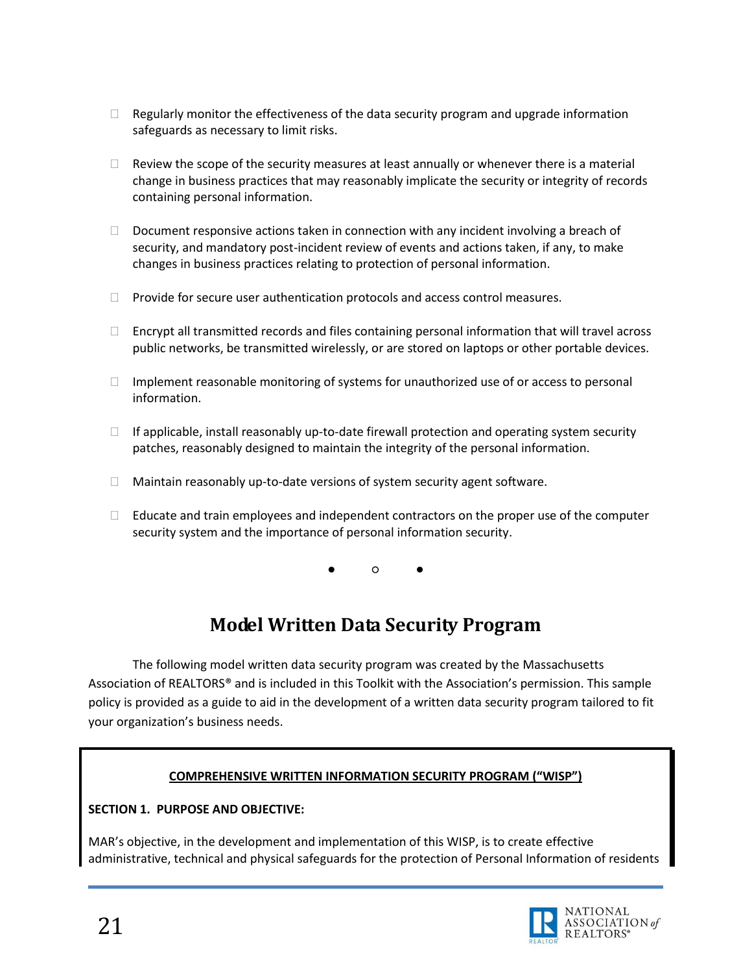- $\Box$  Regularly monitor the effectiveness of the data security program and upgrade information safeguards as necessary to limit risks.
- $\Box$  Review the scope of the security measures at least annually or whenever there is a material change in business practices that may reasonably implicate the security or integrity of records containing personal information.
- $\Box$  Document responsive actions taken in connection with any incident involving a breach of security, and mandatory post-incident review of events and actions taken, if any, to make changes in business practices relating to protection of personal information.
- $\Box$  Provide for secure user authentication protocols and access control measures.
- $\Box$  Encrypt all transmitted records and files containing personal information that will travel across public networks, be transmitted wirelessly, or are stored on laptops or other portable devices.
- $\Box$  Implement reasonable monitoring of systems for unauthorized use of or access to personal information.
- $\Box$  If applicable, install reasonably up-to-date firewall protection and operating system security patches, reasonably designed to maintain the integrity of the personal information.
- $\Box$  Maintain reasonably up-to-date versions of system security agent software.
- $\Box$  Educate and train employees and independent contractors on the proper use of the computer security system and the importance of personal information security.

● ○ ●

# **Model Written Data Security Program**

<span id="page-20-0"></span>The following model written data security program was created by the Massachusetts Association of REALTORS® and is included in this Toolkit with the Association's permission. This sample policy is provided as a guide to aid in the development of a written data security program tailored to fit your organization's business needs.

### **COMPREHENSIVE WRITTEN INFORMATION SECURITY PROGRAM ("WISP")**

### **SECTION 1. PURPOSE AND OBJECTIVE:**

MAR's objective, in the development and implementation of this WISP, is to create effective administrative, technical and physical safeguards for the protection of Personal Information of residents

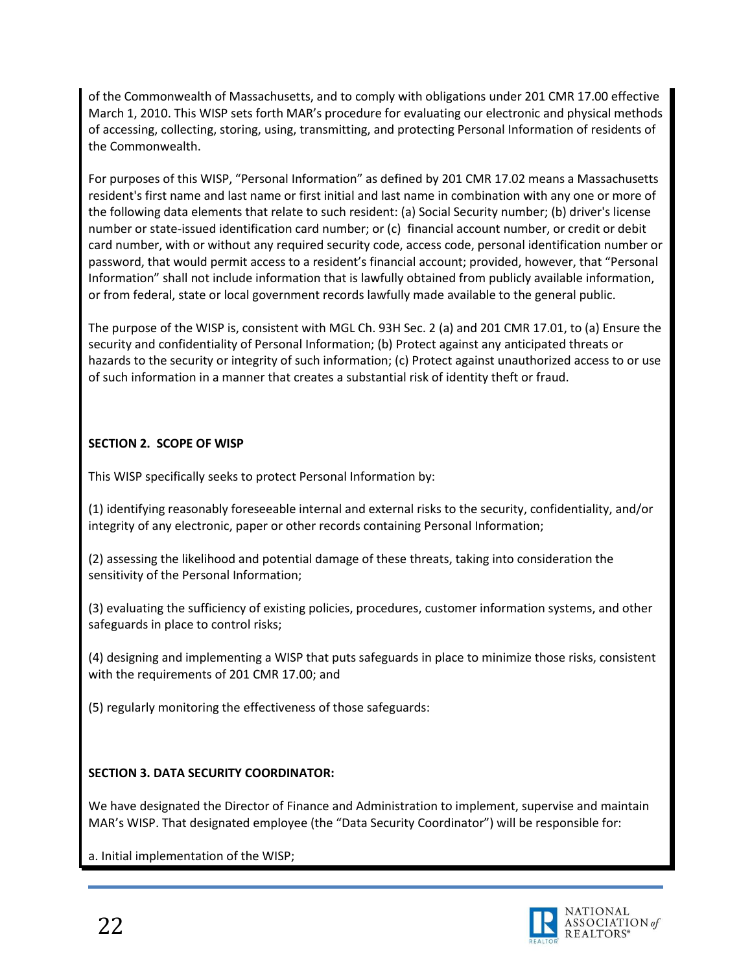of the Commonwealth of Massachusetts, and to comply with obligations under 201 CMR 17.00 effective March 1, 2010. This WISP sets forth MAR's procedure for evaluating our electronic and physical methods of accessing, collecting, storing, using, transmitting, and protecting Personal Information of residents of the Commonwealth.

For purposes of this WISP, "Personal Information" as defined by 201 CMR 17.02 means a Massachusetts resident's first name and last name or first initial and last name in combination with any one or more of the following data elements that relate to such resident: (a) Social Security number; (b) driver's license number or state-issued identification card number; or (c) financial account number, or credit or debit card number, with or without any required security code, access code, personal identification number or password, that would permit access to a resident's financial account; provided, however, that "Personal Information" shall not include information that is lawfully obtained from publicly available information, or from federal, state or local government records lawfully made available to the general public.

The purpose of the WISP is, consistent with MGL Ch. 93H Sec. 2 (a) and 201 CMR 17.01, to (a) Ensure the security and confidentiality of Personal Information; (b) Protect against any anticipated threats or hazards to the security or integrity of such information; (c) Protect against unauthorized access to or use of such information in a manner that creates a substantial risk of identity theft or fraud.

## **SECTION 2. SCOPE OF WISP**

This WISP specifically seeks to protect Personal Information by:

(1) identifying reasonably foreseeable internal and external risks to the security, confidentiality, and/or integrity of any electronic, paper or other records containing Personal Information;

(2) assessing the likelihood and potential damage of these threats, taking into consideration the sensitivity of the Personal Information;

(3) evaluating the sufficiency of existing policies, procedures, customer information systems, and other safeguards in place to control risks;

(4) designing and implementing a WISP that puts safeguards in place to minimize those risks, consistent with the requirements of 201 CMR 17.00; and

(5) regularly monitoring the effectiveness of those safeguards:

## **SECTION 3. DATA SECURITY COORDINATOR:**

We have designated the Director of Finance and Administration to implement, supervise and maintain MAR's WISP. That designated employee (the "Data Security Coordinator") will be responsible for:

a. Initial implementation of the WISP;

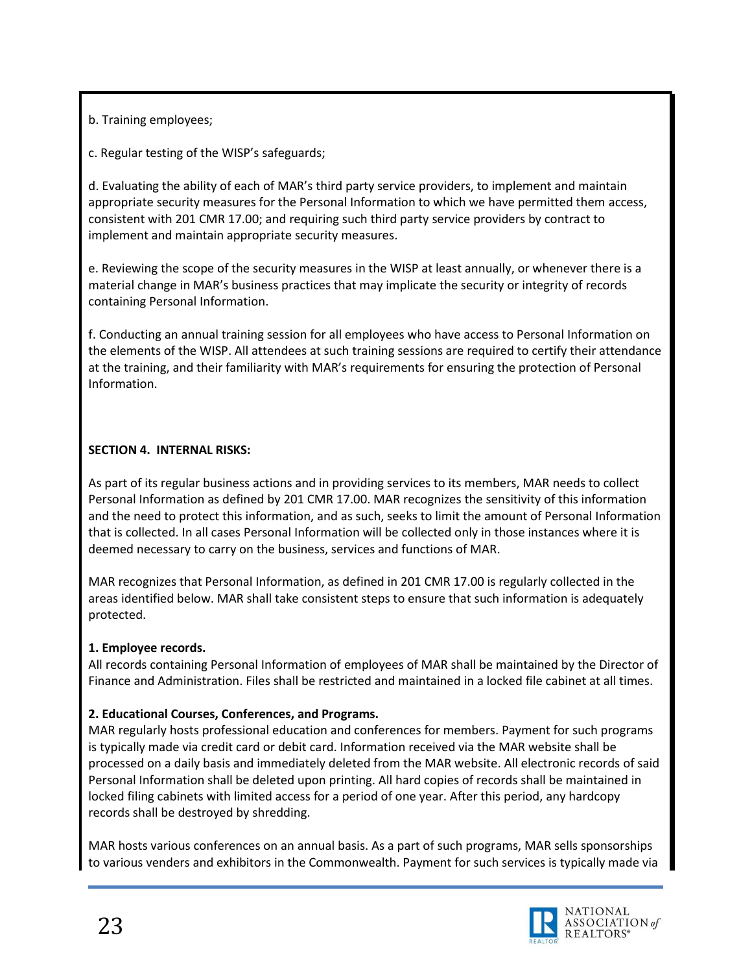b. Training employees;

c. Regular testing of the WISP's safeguards;

d. Evaluating the ability of each of MAR's third party service providers, to implement and maintain appropriate security measures for the Personal Information to which we have permitted them access, consistent with 201 CMR 17.00; and requiring such third party service providers by contract to implement and maintain appropriate security measures.

e. Reviewing the scope of the security measures in the WISP at least annually, or whenever there is a material change in MAR's business practices that may implicate the security or integrity of records containing Personal Information.

f. Conducting an annual training session for all employees who have access to Personal Information on the elements of the WISP. All attendees at such training sessions are required to certify their attendance at the training, and their familiarity with MAR's requirements for ensuring the protection of Personal Information.

### **SECTION 4. INTERNAL RISKS:**

As part of its regular business actions and in providing services to its members, MAR needs to collect Personal Information as defined by 201 CMR 17.00. MAR recognizes the sensitivity of this information and the need to protect this information, and as such, seeks to limit the amount of Personal Information that is collected. In all cases Personal Information will be collected only in those instances where it is deemed necessary to carry on the business, services and functions of MAR.

MAR recognizes that Personal Information, as defined in 201 CMR 17.00 is regularly collected in the areas identified below. MAR shall take consistent steps to ensure that such information is adequately protected.

## **1. Employee records.**

All records containing Personal Information of employees of MAR shall be maintained by the Director of Finance and Administration. Files shall be restricted and maintained in a locked file cabinet at all times.

## **2. Educational Courses, Conferences, and Programs.**

MAR regularly hosts professional education and conferences for members. Payment for such programs is typically made via credit card or debit card. Information received via the MAR website shall be processed on a daily basis and immediately deleted from the MAR website. All electronic records of said Personal Information shall be deleted upon printing. All hard copies of records shall be maintained in locked filing cabinets with limited access for a period of one year. After this period, any hardcopy records shall be destroyed by shredding.

MAR hosts various conferences on an annual basis. As a part of such programs, MAR sells sponsorships to various venders and exhibitors in the Commonwealth. Payment for such services is typically made via

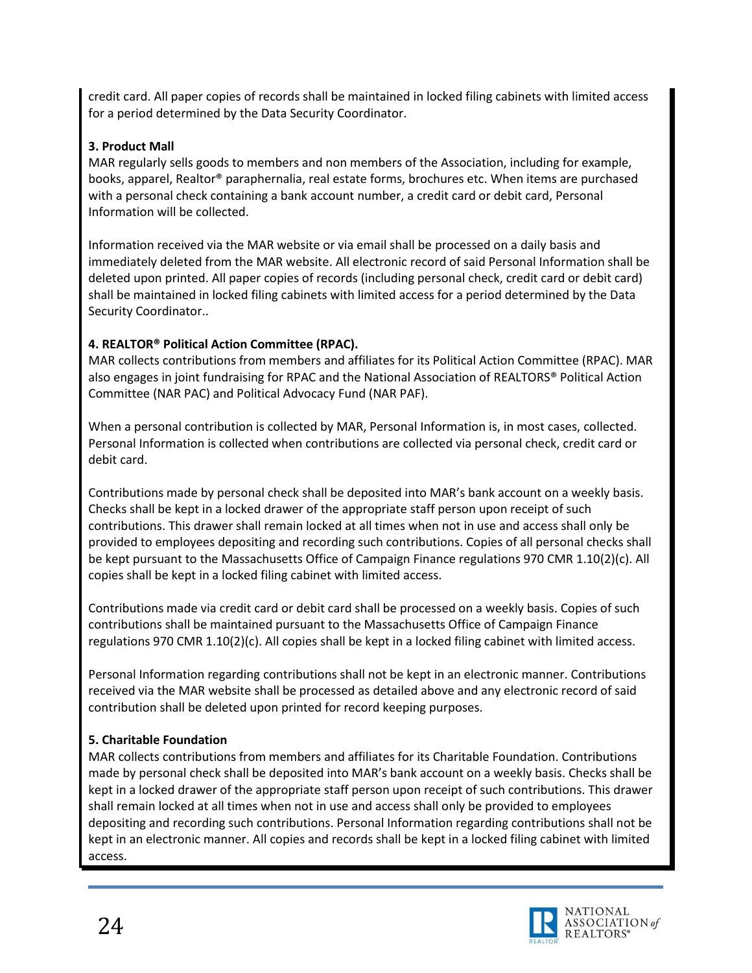credit card. All paper copies of records shall be maintained in locked filing cabinets with limited access for a period determined by the Data Security Coordinator.

### **3. Product Mall**

MAR regularly sells goods to members and non members of the Association, including for example, books, apparel, Realtor® paraphernalia, real estate forms, brochures etc. When items are purchased with a personal check containing a bank account number, a credit card or debit card, Personal Information will be collected.

Information received via the MAR website or via email shall be processed on a daily basis and immediately deleted from the MAR website. All electronic record of said Personal Information shall be deleted upon printed. All paper copies of records (including personal check, credit card or debit card) shall be maintained in locked filing cabinets with limited access for a period determined by the Data Security Coordinator..

## **4. REALTOR® Political Action Committee (RPAC).**

MAR collects contributions from members and affiliates for its Political Action Committee (RPAC). MAR also engages in joint fundraising for RPAC and the National Association of REALTORS® Political Action Committee (NAR PAC) and Political Advocacy Fund (NAR PAF).

When a personal contribution is collected by MAR, Personal Information is, in most cases, collected. Personal Information is collected when contributions are collected via personal check, credit card or debit card.

Contributions made by personal check shall be deposited into MAR's bank account on a weekly basis. Checks shall be kept in a locked drawer of the appropriate staff person upon receipt of such contributions. This drawer shall remain locked at all times when not in use and access shall only be provided to employees depositing and recording such contributions. Copies of all personal checks shall be kept pursuant to the Massachusetts Office of Campaign Finance regulations 970 CMR 1.10(2)(c). All copies shall be kept in a locked filing cabinet with limited access.

Contributions made via credit card or debit card shall be processed on a weekly basis. Copies of such contributions shall be maintained pursuant to the Massachusetts Office of Campaign Finance regulations 970 CMR 1.10(2)(c). All copies shall be kept in a locked filing cabinet with limited access.

Personal Information regarding contributions shall not be kept in an electronic manner. Contributions received via the MAR website shall be processed as detailed above and any electronic record of said contribution shall be deleted upon printed for record keeping purposes.

## **5. Charitable Foundation**

MAR collects contributions from members and affiliates for its Charitable Foundation. Contributions made by personal check shall be deposited into MAR's bank account on a weekly basis. Checks shall be kept in a locked drawer of the appropriate staff person upon receipt of such contributions. This drawer shall remain locked at all times when not in use and access shall only be provided to employees depositing and recording such contributions. Personal Information regarding contributions shall not be kept in an electronic manner. All copies and records shall be kept in a locked filing cabinet with limited access.

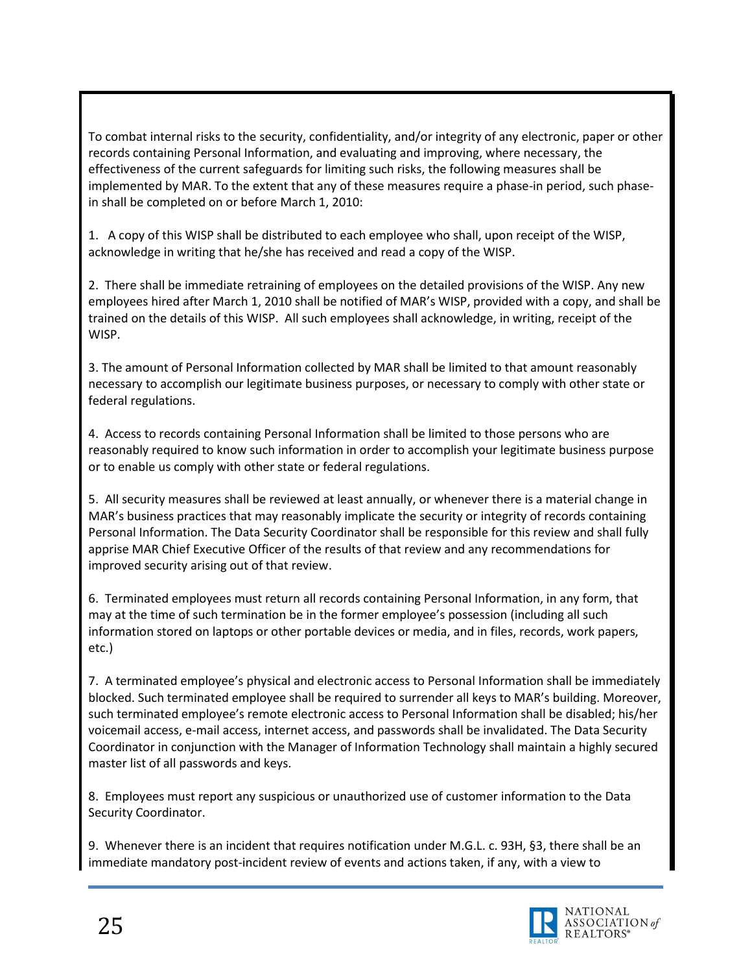To combat internal risks to the security, confidentiality, and/or integrity of any electronic, paper or other records containing Personal Information, and evaluating and improving, where necessary, the effectiveness of the current safeguards for limiting such risks, the following measures shall be implemented by MAR. To the extent that any of these measures require a phase-in period, such phasein shall be completed on or before March 1, 2010:

1. A copy of this WISP shall be distributed to each employee who shall, upon receipt of the WISP, acknowledge in writing that he/she has received and read a copy of the WISP.

2. There shall be immediate retraining of employees on the detailed provisions of the WISP. Any new employees hired after March 1, 2010 shall be notified of MAR's WISP, provided with a copy, and shall be trained on the details of this WISP. All such employees shall acknowledge, in writing, receipt of the WISP.

3. The amount of Personal Information collected by MAR shall be limited to that amount reasonably necessary to accomplish our legitimate business purposes, or necessary to comply with other state or federal regulations.

4. Access to records containing Personal Information shall be limited to those persons who are reasonably required to know such information in order to accomplish your legitimate business purpose or to enable us comply with other state or federal regulations.

5. All security measures shall be reviewed at least annually, or whenever there is a material change in MAR's business practices that may reasonably implicate the security or integrity of records containing Personal Information. The Data Security Coordinator shall be responsible for this review and shall fully apprise MAR Chief Executive Officer of the results of that review and any recommendations for improved security arising out of that review.

6. Terminated employees must return all records containing Personal Information, in any form, that may at the time of such termination be in the former employee's possession (including all such information stored on laptops or other portable devices or media, and in files, records, work papers, etc.)

7. A terminated employee's physical and electronic access to Personal Information shall be immediately blocked. Such terminated employee shall be required to surrender all keys to MAR's building. Moreover, such terminated employee's remote electronic access to Personal Information shall be disabled; his/her voicemail access, e-mail access, internet access, and passwords shall be invalidated. The Data Security Coordinator in conjunction with the Manager of Information Technology shall maintain a highly secured master list of all passwords and keys.

8. Employees must report any suspicious or unauthorized use of customer information to the Data Security Coordinator.

9. Whenever there is an incident that requires notification under M.G.L. c. 93H, §3, there shall be an immediate mandatory post-incident review of events and actions taken, if any, with a view to

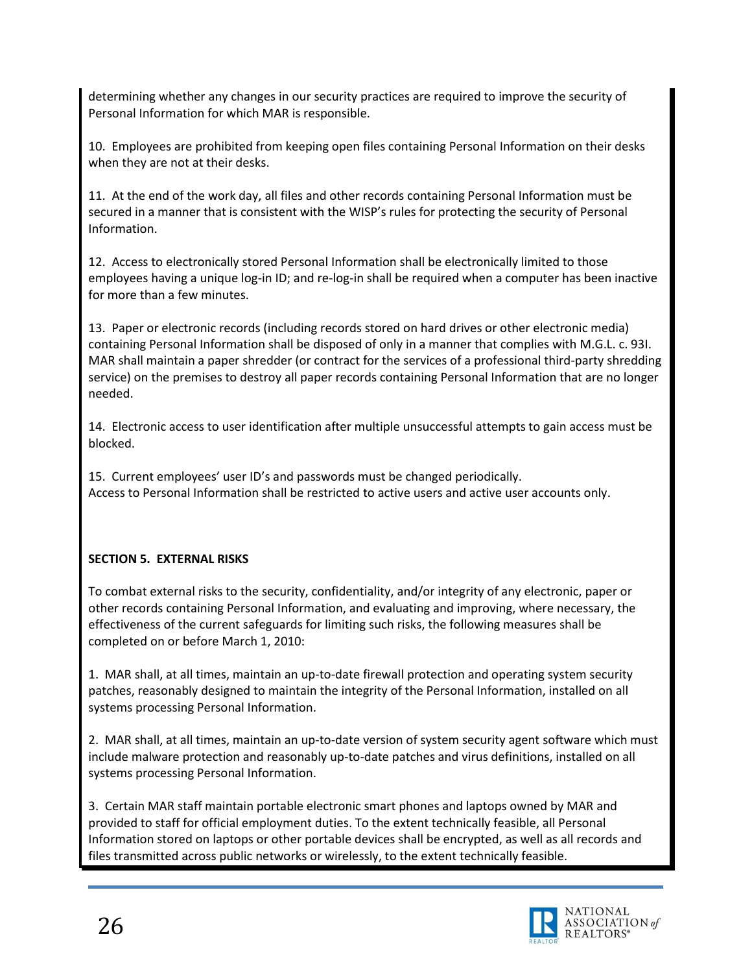determining whether any changes in our security practices are required to improve the security of Personal Information for which MAR is responsible.

10. Employees are prohibited from keeping open files containing Personal Information on their desks when they are not at their desks.

11. At the end of the work day, all files and other records containing Personal Information must be secured in a manner that is consistent with the WISP's rules for protecting the security of Personal Information.

12. Access to electronically stored Personal Information shall be electronically limited to those employees having a unique log-in ID; and re-log-in shall be required when a computer has been inactive for more than a few minutes.

13. Paper or electronic records (including records stored on hard drives or other electronic media) containing Personal Information shall be disposed of only in a manner that complies with M.G.L. c. 93I. MAR shall maintain a paper shredder (or contract for the services of a professional third-party shredding service) on the premises to destroy all paper records containing Personal Information that are no longer needed.

14. Electronic access to user identification after multiple unsuccessful attempts to gain access must be blocked.

15. Current employees' user ID's and passwords must be changed periodically. Access to Personal Information shall be restricted to active users and active user accounts only.

## **SECTION 5. EXTERNAL RISKS**

To combat external risks to the security, confidentiality, and/or integrity of any electronic, paper or other records containing Personal Information, and evaluating and improving, where necessary, the effectiveness of the current safeguards for limiting such risks, the following measures shall be completed on or before March 1, 2010:

1. MAR shall, at all times, maintain an up-to-date firewall protection and operating system security patches, reasonably designed to maintain the integrity of the Personal Information, installed on all systems processing Personal Information.

2. MAR shall, at all times, maintain an up-to-date version of system security agent software which must include malware protection and reasonably up-to-date patches and virus definitions, installed on all systems processing Personal Information.

3. Certain MAR staff maintain portable electronic smart phones and laptops owned by MAR and provided to staff for official employment duties. To the extent technically feasible, all Personal Information stored on laptops or other portable devices shall be encrypted, as well as all records and files transmitted across public networks or wirelessly, to the extent technically feasible.

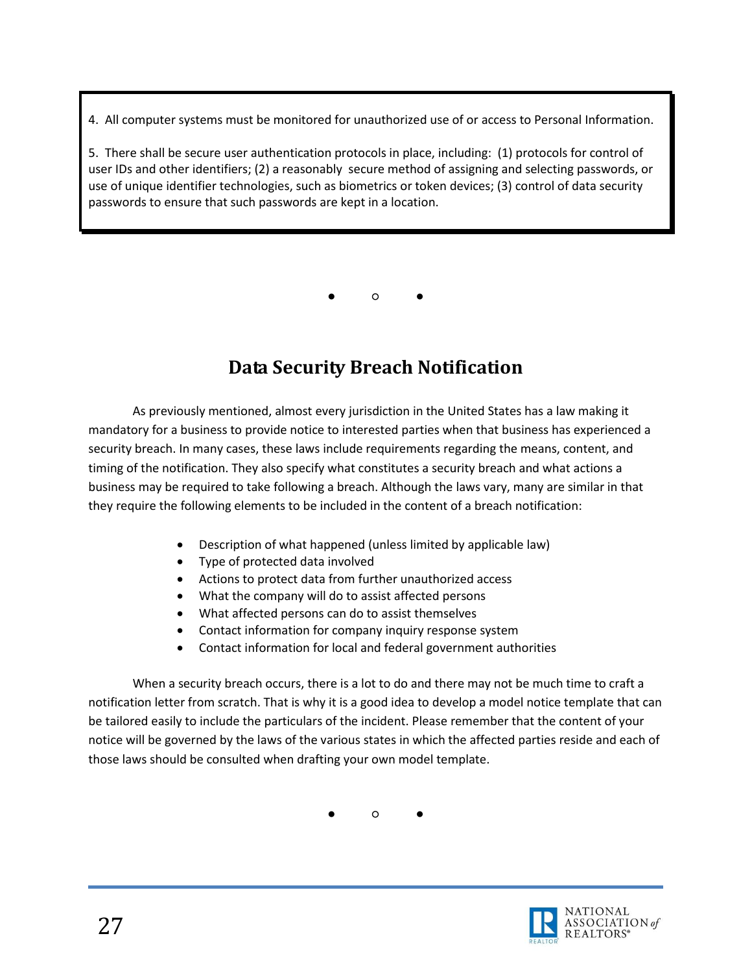4. All computer systems must be monitored for unauthorized use of or access to Personal Information.

5. There shall be secure user authentication protocols in place, including: (1) protocols for control of user IDs and other identifiers; (2) a reasonably secure method of assigning and selecting passwords, or use of unique identifier technologies, such as biometrics or token devices; (3) control of data security passwords to ensure that such passwords are kept in a location.

● ○ ●

# **Data Security Breach Notification**

<span id="page-26-0"></span>As previously mentioned, almost every jurisdiction in the United States has a law making it mandatory for a business to provide notice to interested parties when that business has experienced a security breach. In many cases, these laws include requirements regarding the means, content, and timing of the notification. They also specify what constitutes a security breach and what actions a business may be required to take following a breach. Although the laws vary, many are similar in that they require the following elements to be included in the content of a breach notification:

- Description of what happened (unless limited by applicable law)
- Type of protected data involved
- Actions to protect data from further unauthorized access
- What the company will do to assist affected persons
- What affected persons can do to assist themselves
- Contact information for company inquiry response system
- Contact information for local and federal government authorities

When a security breach occurs, there is a lot to do and there may not be much time to craft a notification letter from scratch. That is why it is a good idea to develop a model notice template that can be tailored easily to include the particulars of the incident. Please remember that the content of your notice will be governed by the laws of the various states in which the affected parties reside and each of those laws should be consulted when drafting your own model template.

● ○ ●

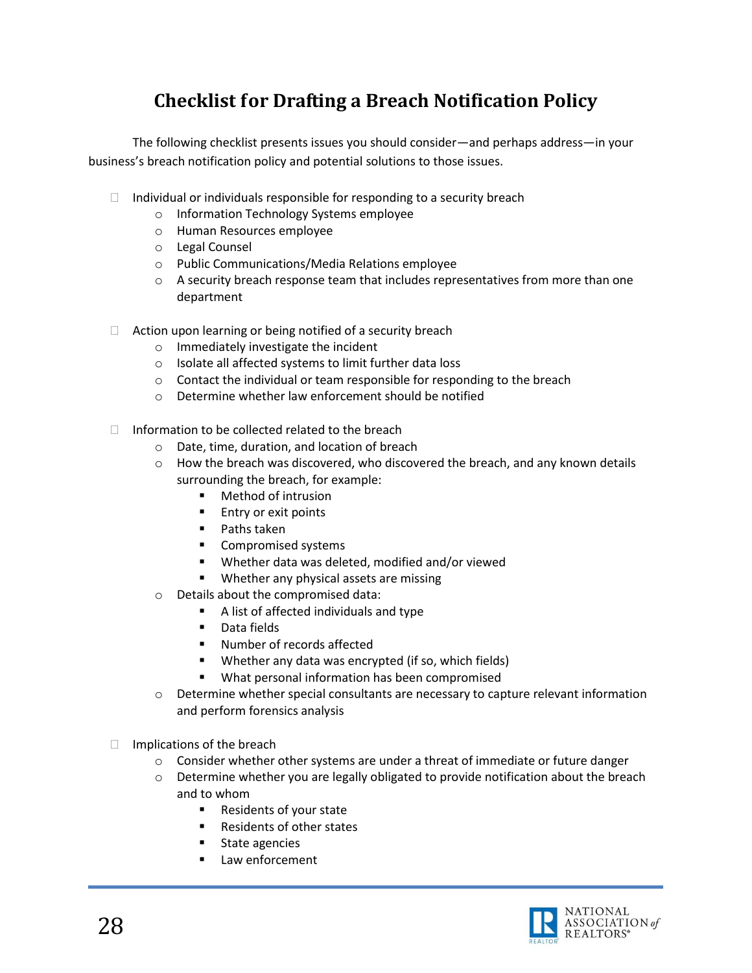# **Checklist for Drafting a Breach Notification Policy**

<span id="page-27-0"></span>The following checklist presents issues you should consider—and perhaps address—in your business's breach notification policy and potential solutions to those issues.

- $\Box$  Individual or individuals responsible for responding to a security breach
	- o Information Technology Systems employee
	- o Human Resources employee
	- o Legal Counsel
	- o Public Communications/Media Relations employee
	- $\circ$  A security breach response team that includes representatives from more than one department
- $\Box$  Action upon learning or being notified of a security breach
	- o Immediately investigate the incident
	- o Isolate all affected systems to limit further data loss
	- o Contact the individual or team responsible for responding to the breach
	- o Determine whether law enforcement should be notified
- $\Box$  Information to be collected related to the breach
	- o Date, time, duration, and location of breach
	- $\circ$  How the breach was discovered, who discovered the breach, and any known details surrounding the breach, for example:
		- **•** Method of intrusion
		- **Entry or exit points**
		- $\blacksquare$  Paths taken
		- **Compromised systems**
		- Whether data was deleted, modified and/or viewed
		- **Whether any physical assets are missing**
	- o Details about the compromised data:
		- A list of affected individuals and type
		- **Data fields**
		- Number of records affected
		- Whether any data was encrypted (if so, which fields)
		- What personal information has been compromised
	- $\circ$  Determine whether special consultants are necessary to capture relevant information and perform forensics analysis
- $\Box$  Implications of the breach
	- $\circ$  Consider whether other systems are under a threat of immediate or future danger
	- $\circ$  Determine whether you are legally obligated to provide notification about the breach and to whom
		- Residents of your state
		- Residents of other states
		- **State agencies**
		- Law enforcement

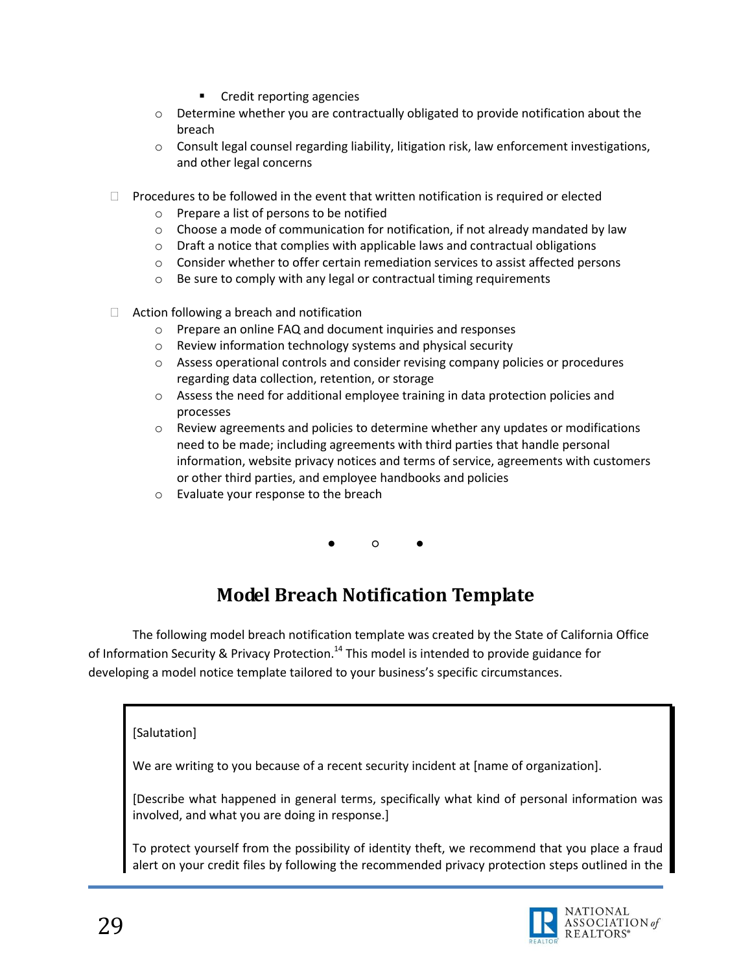- **•** Credit reporting agencies
- $\circ$  Determine whether you are contractually obligated to provide notification about the breach
- o Consult legal counsel regarding liability, litigation risk, law enforcement investigations, and other legal concerns
- $\Box$  Procedures to be followed in the event that written notification is required or elected
	- o Prepare a list of persons to be notified
	- $\circ$  Choose a mode of communication for notification, if not already mandated by law
	- $\circ$  Draft a notice that complies with applicable laws and contractual obligations
	- $\circ$  Consider whether to offer certain remediation services to assist affected persons
	- o Be sure to comply with any legal or contractual timing requirements
- $\Box$  Action following a breach and notification
	- o Prepare an online FAQ and document inquiries and responses
	- o Review information technology systems and physical security
	- o Assess operational controls and consider revising company policies or procedures regarding data collection, retention, or storage
	- $\circ$  Assess the need for additional employee training in data protection policies and processes
	- $\circ$  Review agreements and policies to determine whether any updates or modifications need to be made; including agreements with third parties that handle personal information, website privacy notices and terms of service, agreements with customers or other third parties, and employee handbooks and policies
	- o Evaluate your response to the breach

● ○ ●

## **Model Breach Notification Template**

<span id="page-28-0"></span>The following model breach notification template was created by the State of California Office of Information Security & Privacy Protection.<sup>14</sup> This model is intended to provide guidance for developing a model notice template tailored to your business's specific circumstances.

### [Salutation]

We are writing to you because of a recent security incident at [name of organization].

[Describe what happened in general terms, specifically what kind of personal information was involved, and what you are doing in response.]

To protect yourself from the possibility of identity theft, we recommend that you place a fraud alert on your credit files by following the recommended privacy protection steps outlined in the

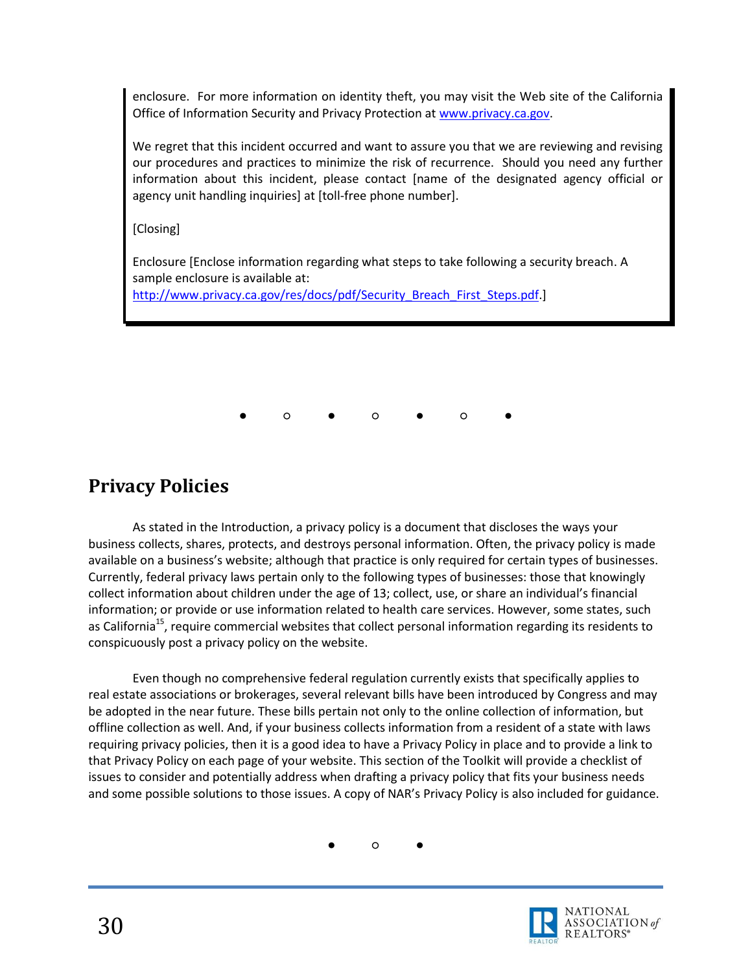enclosure. For more information on identity theft, you may visit the Web site of the California Office of Information Security and Privacy Protection a[t www.privacy.ca.gov.](http://www.privacy.ca.gov/)

We regret that this incident occurred and want to assure you that we are reviewing and revising our procedures and practices to minimize the risk of recurrence. Should you need any further information about this incident, please contact [name of the designated agency official or agency unit handling inquiries] at [toll-free phone number].

[Closing]

Enclosure [Enclose information regarding what steps to take following a security breach. A sample enclosure is available at:

[http://www.privacy.ca.gov/res/docs/pdf/Security\\_Breach\\_First\\_Steps.pdf.](http://www.privacy.ca.gov/res/docs/pdf/Security_Breach_First_Steps.pdf)]

● ○ ● ○ ● ○ ●

## <span id="page-29-0"></span>**Privacy Policies**

As stated in the Introduction, a privacy policy is a document that discloses the ways your business collects, shares, protects, and destroys personal information. Often, the privacy policy is made available on a business's website; although that practice is only required for certain types of businesses. Currently, federal privacy laws pertain only to the following types of businesses: those that knowingly collect information about children under the age of 13; collect, use, or share an individual's financial information; or provide or use information related to health care services. However, some states, such as California<sup>15</sup>, require commercial websites that collect personal information regarding its residents to conspicuously post a privacy policy on the website.

Even though no comprehensive federal regulation currently exists that specifically applies to real estate associations or brokerages, several relevant bills have been introduced by Congress and may be adopted in the near future. These bills pertain not only to the online collection of information, but offline collection as well. And, if your business collects information from a resident of a state with laws requiring privacy policies, then it is a good idea to have a Privacy Policy in place and to provide a link to that Privacy Policy on each page of your website. This section of the Toolkit will provide a checklist of issues to consider and potentially address when drafting a privacy policy that fits your business needs and some possible solutions to those issues. A copy of NAR's Privacy Policy is also included for guidance.

● ○ ●

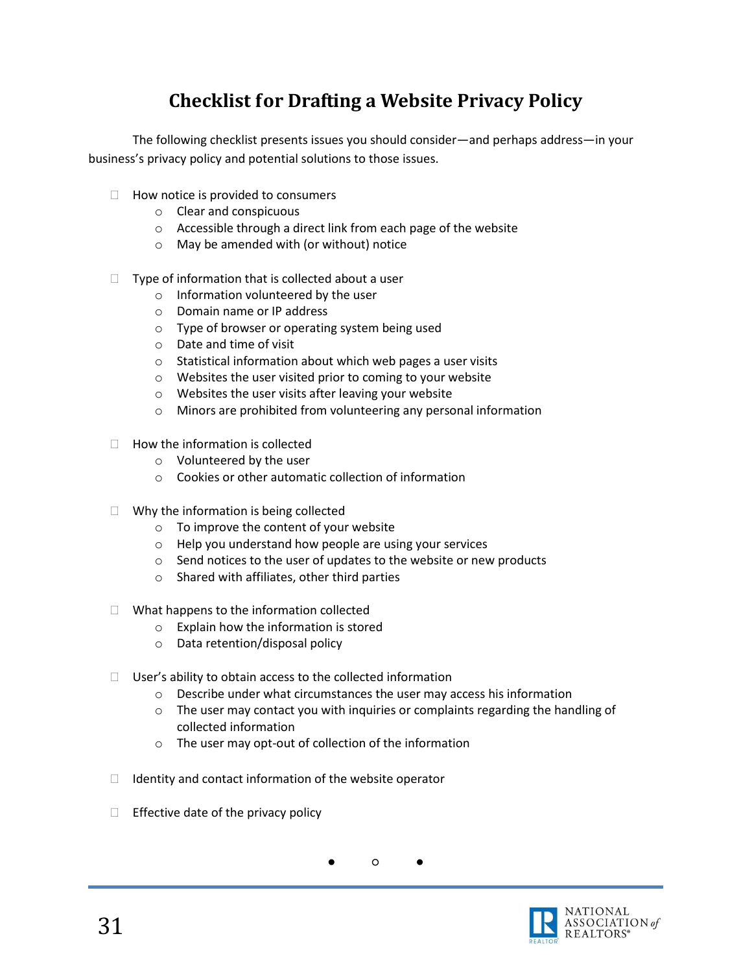# **Checklist for Drafting a Website Privacy Policy**

<span id="page-30-0"></span>The following checklist presents issues you should consider—and perhaps address—in your business's privacy policy and potential solutions to those issues.

- $\Box$  How notice is provided to consumers
	- o Clear and conspicuous
	- o Accessible through a direct link from each page of the website
	- o May be amended with (or without) notice
- $\Box$  Type of information that is collected about a user
	- o Information volunteered by the user
	- o Domain name or IP address
	- o Type of browser or operating system being used
	- o Date and time of visit
	- o Statistical information about which web pages a user visits
	- o Websites the user visited prior to coming to your website
	- o Websites the user visits after leaving your website
	- o Minors are prohibited from volunteering any personal information
- $\Box$  How the information is collected
	- o Volunteered by the user
	- o Cookies or other automatic collection of information
- $\Box$  Why the information is being collected
	- o To improve the content of your website
	- o Help you understand how people are using your services
	- o Send notices to the user of updates to the website or new products
	- o Shared with affiliates, other third parties
- $\Box$  What happens to the information collected
	- o Explain how the information is stored
	- o Data retention/disposal policy
- $\Box$  User's ability to obtain access to the collected information
	- $\circ$  Describe under what circumstances the user may access his information
	- $\circ$  The user may contact you with inquiries or complaints regarding the handling of collected information
	- o The user may opt-out of collection of the information
- $\Box$  Identity and contact information of the website operator
- $\Box$  Effective date of the privacy policy

● ○ ●

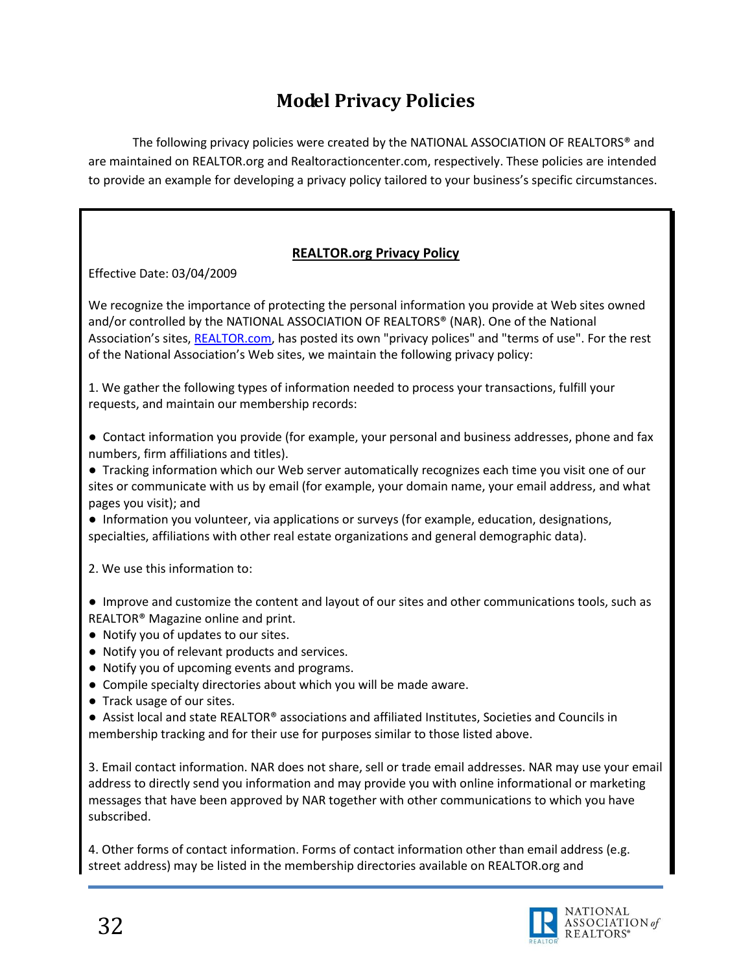# **Model Privacy Policies**

<span id="page-31-0"></span>The following privacy policies were created by the NATIONAL ASSOCIATION OF REALTORS® and are maintained on REALTOR.org and Realtoractioncenter.com, respectively. These policies are intended to provide an example for developing a privacy policy tailored to your business's specific circumstances.

## **REALTOR.org Privacy Policy**

Effective Date: 03/04/2009

We recognize the importance of protecting the personal information you provide at Web sites owned and/or controlled by the NATIONAL ASSOCIATION OF REALTORS® (NAR). One of the National Association's sites, [REALTOR.com,](http://www.realtor.com/) has posted its own "privacy polices" and "terms of use". For the rest of the National Association's Web sites, we maintain the following privacy policy:

1. We gather the following types of information needed to process your transactions, fulfill your requests, and maintain our membership records:

● Contact information you provide (for example, your personal and business addresses, phone and fax numbers, firm affiliations and titles).

● Tracking information which our Web server automatically recognizes each time you visit one of our sites or communicate with us by email (for example, your domain name, your email address, and what pages you visit); and

● Information you volunteer, via applications or surveys (for example, education, designations, specialties, affiliations with other real estate organizations and general demographic data).

2. We use this information to:

● Improve and customize the content and layout of our sites and other communications tools, such as REALTOR® Magazine online and print.

- Notify you of updates to our sites.
- Notify you of relevant products and services.
- Notify you of upcoming events and programs.
- Compile specialty directories about which you will be made aware.
- Track usage of our sites.

● Assist local and state REALTOR<sup>®</sup> associations and affiliated Institutes, Societies and Councils in membership tracking and for their use for purposes similar to those listed above.

3. Email contact information. NAR does not share, sell or trade email addresses. NAR may use your email address to directly send you information and may provide you with online informational or marketing messages that have been approved by NAR together with other communications to which you have subscribed.

4. Other forms of contact information. Forms of contact information other than email address (e.g. street address) may be listed in the membership directories available on REALTOR.org and

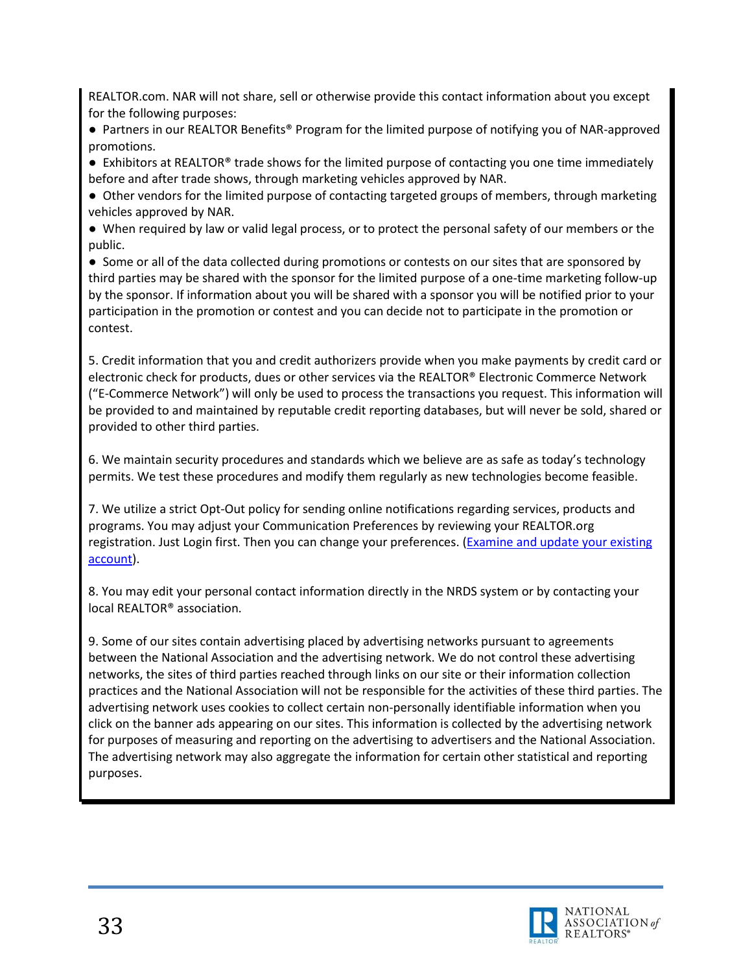REALTOR.com. NAR will not share, sell or otherwise provide this contact information about you except for the following purposes:

● Partners in our REALTOR Benefits® Program for the limited purpose of notifying you of NAR-approved promotions.

● Exhibitors at REALTOR<sup>®</sup> trade shows for the limited purpose of contacting you one time immediately before and after trade shows, through marketing vehicles approved by NAR.

● Other vendors for the limited purpose of contacting targeted groups of members, through marketing vehicles approved by NAR.

● When required by law or valid legal process, or to protect the personal safety of our members or the public.

● Some or all of the data collected during promotions or contests on our sites that are sponsored by third parties may be shared with the sponsor for the limited purpose of a one-time marketing follow-up by the sponsor. If information about you will be shared with a sponsor you will be notified prior to your participation in the promotion or contest and you can decide not to participate in the promotion or contest.

5. Credit information that you and credit authorizers provide when you make payments by credit card or electronic check for products, dues or other services via the REALTOR® Electronic Commerce Network ("E-Commerce Network") will only be used to process the transactions you request. This information will be provided to and maintained by reputable credit reporting databases, but will never be sold, shared or provided to other third parties.

6. We maintain security procedures and standards which we believe are as safe as today's technology permits. We test these procedures and modify them regularly as new technologies become feasible.

7. We utilize a strict Opt-Out policy for sending online notifications regarding services, products and programs. You may adjust your Communication Preferences by reviewing your REALTOR.org registration. Just Login first. Then you can change your preferences. [\(Examine and update your existing](https://reg.realtor.org/roreg.nsf/pages/MyAccount?OpenDocument&Login)  [account\)](https://reg.realtor.org/roreg.nsf/pages/MyAccount?OpenDocument&Login).

8. You may edit your personal contact information directly in the NRDS system or by contacting your local REALTOR® association.

9. Some of our sites contain advertising placed by advertising networks pursuant to agreements between the National Association and the advertising network. We do not control these advertising networks, the sites of third parties reached through links on our site or their information collection practices and the National Association will not be responsible for the activities of these third parties. The advertising network uses cookies to collect certain non-personally identifiable information when you click on the banner ads appearing on our sites. This information is collected by the advertising network for purposes of measuring and reporting on the advertising to advertisers and the National Association. The advertising network may also aggregate the information for certain other statistical and reporting purposes.

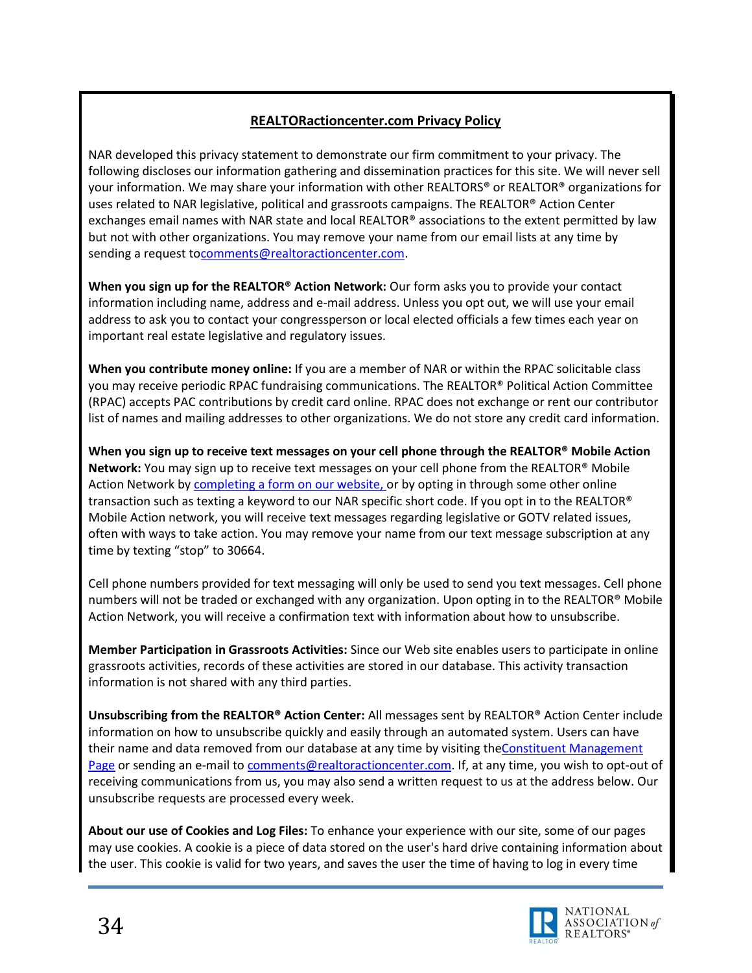### **REALTORactioncenter.com Privacy Policy**

NAR developed this privacy statement to demonstrate our firm commitment to your privacy. The following discloses our information gathering and dissemination practices for this site. We will never sell your information. We may share your information with other REALTORS® or REALTOR® organizations for uses related to NAR legislative, political and grassroots campaigns. The REALTOR® Action Center exchanges email names with NAR state and local REALTOR® associations to the extent permitted by law but not with other organizations. You may remove your name from our email lists at any time by sending a request t[ocomments@realtoractioncenter.com.](mailto:comments@realtoractioncenter.com)

**When you sign up for the REALTOR® Action Network:** Our form asks you to provide your contact information including name, address and e-mail address. Unless you opt out, we will use your email address to ask you to contact your congressperson or local elected officials a few times each year on important real estate legislative and regulatory issues.

**When you contribute money online:** If you are a member of NAR or within the RPAC solicitable class you may receive periodic RPAC fundraising communications. The REALTOR® Political Action Committee (RPAC) accepts PAC contributions by credit card online. RPAC does not exchange or rent our contributor list of names and mailing addresses to other organizations. We do not store any credit card information.

**When you sign up to receive text messages on your cell phone through the REALTOR® Mobile Action Network:** You may sign up to receive text messages on your cell phone from the REALTOR® Mobile Action Network by [completing a form on our website,](http://www.realtoractioncenter.com/realtor-party/realtor-mobile-action.html) or by opting in through some other online transaction such as texting a keyword to our NAR specific short code. If you opt in to the REALTOR® Mobile Action network, you will receive text messages regarding legislative or GOTV related issues, often with ways to take action. You may remove your name from our text message subscription at any time by texting "stop" to 30664.

Cell phone numbers provided for text messaging will only be used to send you text messages. Cell phone numbers will not be traded or exchanged with any organization. Upon opting in to the REALTOR® Mobile Action Network, you will receive a confirmation text with information about how to unsubscribe.

**Member Participation in Grassroots Activities:** Since our Web site enables users to participate in online grassroots activities, records of these activities are stored in our database. This activity transaction information is not shared with any third parties.

**Unsubscribing from the REALTOR® Action Center:** All messages sent by REALTOR® Action Center include information on how to unsubscribe quickly and easily through an automated system. Users can have their name and data removed from our database at any time by visiting the Constituent Management [Page](http://www2.realtoractioncenter.com/site/UserLogin?NEXTURL=http%3A//www2.realtoractioncenter.com/site/ConsProfileUser%3FdispMode%3Dedit&scid=1041) or sending an e-mail to [comments@realtoractioncenter.com.](mailto:comments@realtoractioncenter.com) If, at any time, you wish to opt-out of receiving communications from us, you may also send a written request to us at the address below. Our unsubscribe requests are processed every week.

**About our use of Cookies and Log Files:** To enhance your experience with our site, some of our pages may use cookies. A cookie is a piece of data stored on the user's hard drive containing information about the user. This cookie is valid for two years, and saves the user the time of having to log in every time

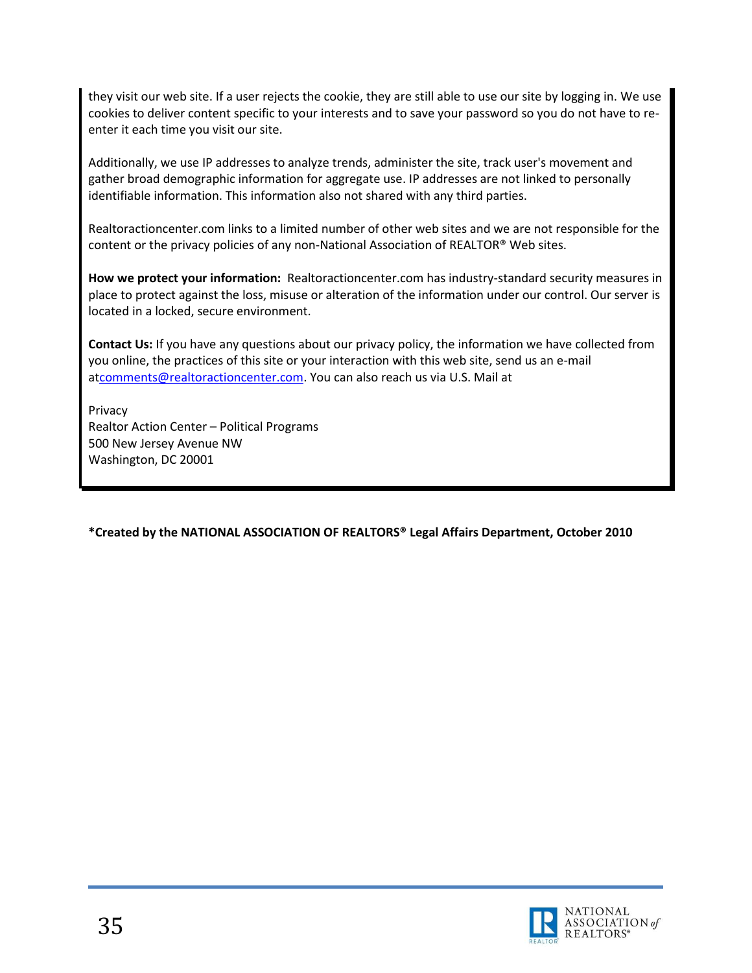they visit our web site. If a user rejects the cookie, they are still able to use our site by logging in. We use cookies to deliver content specific to your interests and to save your password so you do not have to reenter it each time you visit our site.

Additionally, we use IP addresses to analyze trends, administer the site, track user's movement and gather broad demographic information for aggregate use. IP addresses are not linked to personally identifiable information. This information also not shared with any third parties.

Realtoractioncenter.com links to a limited number of other web sites and we are not responsible for the content or the privacy policies of any non-National Association of REALTOR® Web sites.

**How we protect your information:** Realtoractioncenter.com has industry-standard security measures in place to protect against the loss, misuse or alteration of the information under our control. Our server is located in a locked, secure environment.

**Contact Us:** If you have any questions about our privacy policy, the information we have collected from you online, the practices of this site or your interaction with this web site, send us an e-mail a[tcomments@realtoractioncenter.com.](mailto:comments@realtoractioncenter.com) You can also reach us via U.S. Mail at

Privacy Realtor Action Center – Political Programs 500 New Jersey Avenue NW Washington, DC 20001

**\*Created by the NATIONAL ASSOCIATION OF REALTORS® Legal Affairs Department, October 2010**